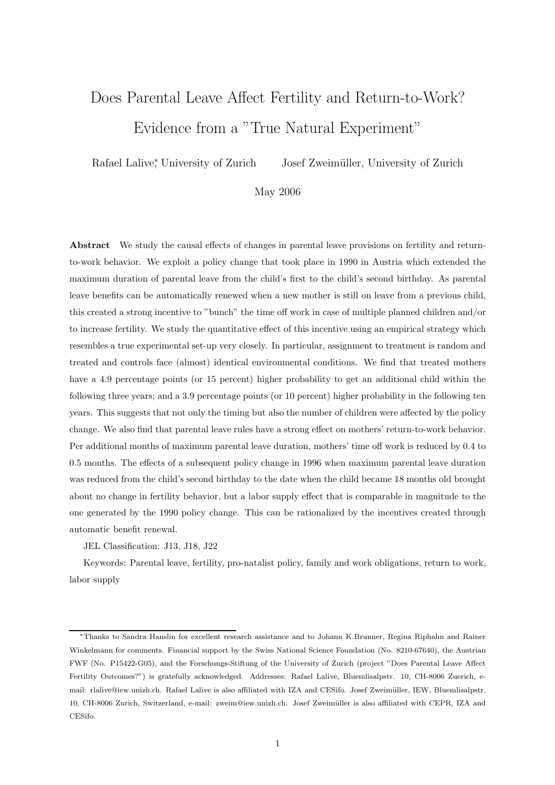# Does Parental Leave Affect Fertility and Return-to-Work? Evidence from a "True Natural Experiment"

Rafael Lalive<sup>\*</sup>, University of Zurich , University of Zurich Josef Zweim¨uller, University of Zurich

## May 2006

Abstract We study the causal effects of changes in parental leave provisions on fertility and returnto-work behavior. We exploit a policy change that took place in 1990 in Austria which extended the maximum duration of parental leave from the child's first to the child's second birthday. As parental leave benefits can be automatically renewed when a new mother is still on leave from a previous child, this created a strong incentive to "bunch" the time off work in case of multiple planned children and/or to increase fertility. We study the quantitative effect of this incentive using an empirical strategy which resembles a true experimental set-up very closely. In particular, assignment to treatment is random and treated and controls face (almost) identical environmental conditions. We find that treated mothers have a 4.9 percentage points (or 15 percent) higher probability to get an additional child within the following three years; and a 3.9 percentage points (or 10 percent) higher probability in the following ten years. This suggests that not only the timing but also the number of children were affected by the policy change. We also find that parental leave rules have a strong effect on mothers' return-to-work behavior. Per additional months of maximum parental leave duration, mothers' time off work is reduced by 0.4 to 0.5 months. The effects of a subsequent policy change in 1996 when maximum parental leave duration was reduced from the child's second birthday to the date when the child became 18 months old brought about no change in fertility behavior, but a labor supply effect that is comparable in magnitude to the one generated by the 1990 policy change. This can be rationalized by the incentives created through automatic benefit renewal.

JEL Classification: J13, J18, J22

Keywords: Parental leave, fertility, pro-natalist policy, family and work obligations, return to work, labor supply

<sup>∗</sup>Thanks to Sandra Hanslin for excellent research assistance and to Johann K.Brunner, Regina Riphahn and Rainer Winkelmann for comments. Financial support by the Swiss National Science Foundation (No. 8210-67640), the Austrian FWF (No. P15422-G05), and the Forschungs-Stiftung of the University of Zurich (project "Does Parental Leave Affect Fertility Outcomes?") is gratefully acknowledged. Addresses: Rafael Lalive, Bluemlisalpstr. 10, CH-8006 Zuerich, email: rlalive@iew.unizh.ch. Rafael Lalive is also affiliated with IZA and CESifo. Josef Zweimüller, IEW, Bluemlisalpstr. 10, CH-8006 Zurich, Switzerland, e-mail: zweim@iew.unizh.ch. Josef Zweim¨uller is also affiliated with CEPR, IZA and CESifo.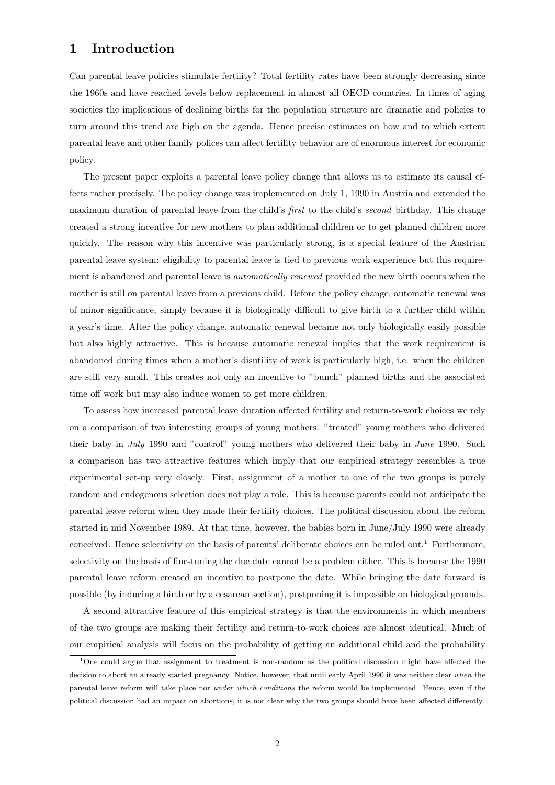# 1 Introduction

Can parental leave policies stimulate fertility? Total fertility rates have been strongly decreasing since the 1960s and have reached levels below replacement in almost all OECD countries. In times of aging societies the implications of declining births for the population structure are dramatic and policies to turn around this trend are high on the agenda. Hence precise estimates on how and to which extent parental leave and other family polices can affect fertility behavior are of enormous interest for economic policy.

The present paper exploits a parental leave policy change that allows us to estimate its causal effects rather precisely. The policy change was implemented on July 1, 1990 in Austria and extended the maximum duration of parental leave from the child's *first* to the child's *second* birthday. This change created a strong incentive for new mothers to plan additional children or to get planned children more quickly. The reason why this incentive was particularly strong, is a special feature of the Austrian parental leave system: eligibility to parental leave is tied to previous work experience but this requirement is abandoned and parental leave is automatically renewed provided the new birth occurs when the mother is still on parental leave from a previous child. Before the policy change, automatic renewal was of minor significance, simply because it is biologically difficult to give birth to a further child within a year's time. After the policy change, automatic renewal became not only biologically easily possible but also highly attractive. This is because automatic renewal implies that the work requirement is abandoned during times when a mother's disutility of work is particularly high, i.e. when the children are still very small. This creates not only an incentive to "bunch" planned births and the associated time off work but may also induce women to get more children.

To assess how increased parental leave duration affected fertility and return-to-work choices we rely on a comparison of two interesting groups of young mothers: "treated" young mothers who delivered their baby in July 1990 and "control" young mothers who delivered their baby in June 1990. Such a comparison has two attractive features which imply that our empirical strategy resembles a true experimental set-up very closely. First, assignment of a mother to one of the two groups is purely random and endogenous selection does not play a role. This is because parents could not anticipate the parental leave reform when they made their fertility choices. The political discussion about the reform started in mid November 1989. At that time, however, the babies born in June/July 1990 were already conceived. Hence selectivity on the basis of parents' deliberate choices can be ruled out.<sup>1</sup> Furthermore, selectivity on the basis of fine-tuning the due date cannot be a problem either. This is because the 1990 parental leave reform created an incentive to postpone the date. While bringing the date forward is possible (by inducing a birth or by a cesarean section), postponing it is impossible on biological grounds.

A second attractive feature of this empirical strategy is that the environments in which members of the two groups are making their fertility and return-to-work choices are almost identical. Much of our empirical analysis will focus on the probability of getting an additional child and the probability

<sup>1</sup>One could argue that assignment to treatment is non-random as the political discussion might have affected the decision to abort an already started pregnancy. Notice, however, that until early April 1990 it was neither clear when the parental leave reform will take place nor under which conditions the reform would be implemented. Hence, even if the political discussion had an impact on abortions, it is not clear why the two groups should have been affected differently.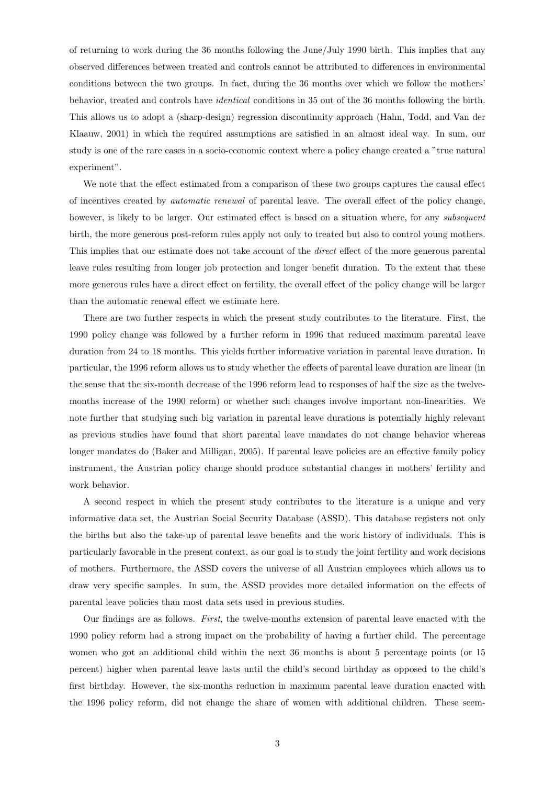of returning to work during the 36 months following the June/July 1990 birth. This implies that any observed differences between treated and controls cannot be attributed to differences in environmental conditions between the two groups. In fact, during the 36 months over which we follow the mothers' behavior, treated and controls have identical conditions in 35 out of the 36 months following the birth. This allows us to adopt a (sharp-design) regression discontinuity approach (Hahn, Todd, and Van der Klaauw, 2001) in which the required assumptions are satisfied in an almost ideal way. In sum, our study is one of the rare cases in a socio-economic context where a policy change created a "true natural experiment".

We note that the effect estimated from a comparison of these two groups captures the causal effect of incentives created by automatic renewal of parental leave. The overall effect of the policy change, however, is likely to be larger. Our estimated effect is based on a situation where, for any *subsequent* birth, the more generous post-reform rules apply not only to treated but also to control young mothers. This implies that our estimate does not take account of the *direct* effect of the more generous parental leave rules resulting from longer job protection and longer benefit duration. To the extent that these more generous rules have a direct effect on fertility, the overall effect of the policy change will be larger than the automatic renewal effect we estimate here.

There are two further respects in which the present study contributes to the literature. First, the 1990 policy change was followed by a further reform in 1996 that reduced maximum parental leave duration from 24 to 18 months. This yields further informative variation in parental leave duration. In particular, the 1996 reform allows us to study whether the effects of parental leave duration are linear (in the sense that the six-month decrease of the 1996 reform lead to responses of half the size as the twelvemonths increase of the 1990 reform) or whether such changes involve important non-linearities. We note further that studying such big variation in parental leave durations is potentially highly relevant as previous studies have found that short parental leave mandates do not change behavior whereas longer mandates do (Baker and Milligan, 2005). If parental leave policies are an effective family policy instrument, the Austrian policy change should produce substantial changes in mothers' fertility and work behavior.

A second respect in which the present study contributes to the literature is a unique and very informative data set, the Austrian Social Security Database (ASSD). This database registers not only the births but also the take-up of parental leave benefits and the work history of individuals. This is particularly favorable in the present context, as our goal is to study the joint fertility and work decisions of mothers. Furthermore, the ASSD covers the universe of all Austrian employees which allows us to draw very specific samples. In sum, the ASSD provides more detailed information on the effects of parental leave policies than most data sets used in previous studies.

Our findings are as follows. First, the twelve-months extension of parental leave enacted with the 1990 policy reform had a strong impact on the probability of having a further child. The percentage women who got an additional child within the next 36 months is about 5 percentage points (or 15 percent) higher when parental leave lasts until the child's second birthday as opposed to the child's first birthday. However, the six-months reduction in maximum parental leave duration enacted with the 1996 policy reform, did not change the share of women with additional children. These seem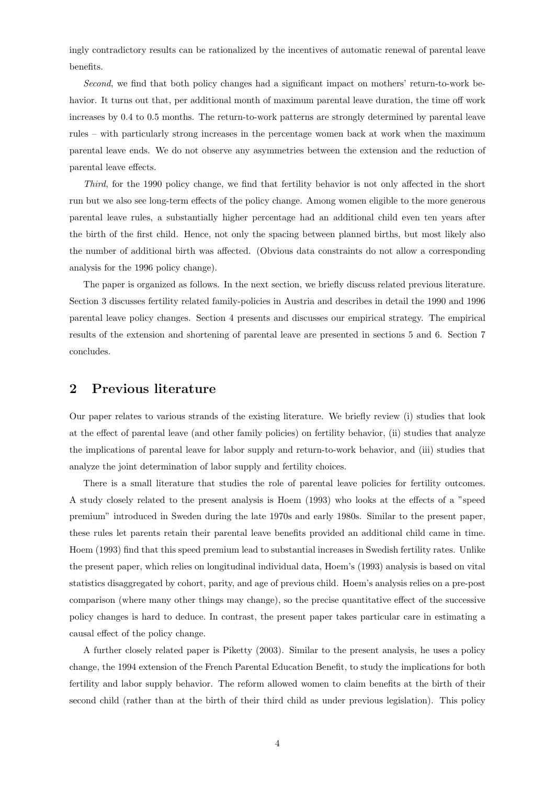ingly contradictory results can be rationalized by the incentives of automatic renewal of parental leave benefits.

Second, we find that both policy changes had a significant impact on mothers' return-to-work behavior. It turns out that, per additional month of maximum parental leave duration, the time off work increases by 0.4 to 0.5 months. The return-to-work patterns are strongly determined by parental leave rules – with particularly strong increases in the percentage women back at work when the maximum parental leave ends. We do not observe any asymmetries between the extension and the reduction of parental leave effects.

Third, for the 1990 policy change, we find that fertility behavior is not only affected in the short run but we also see long-term effects of the policy change. Among women eligible to the more generous parental leave rules, a substantially higher percentage had an additional child even ten years after the birth of the first child. Hence, not only the spacing between planned births, but most likely also the number of additional birth was affected. (Obvious data constraints do not allow a corresponding analysis for the 1996 policy change).

The paper is organized as follows. In the next section, we briefly discuss related previous literature. Section 3 discusses fertility related family-policies in Austria and describes in detail the 1990 and 1996 parental leave policy changes. Section 4 presents and discusses our empirical strategy. The empirical results of the extension and shortening of parental leave are presented in sections 5 and 6. Section 7 concludes.

## 2 Previous literature

Our paper relates to various strands of the existing literature. We briefly review (i) studies that look at the effect of parental leave (and other family policies) on fertility behavior, (ii) studies that analyze the implications of parental leave for labor supply and return-to-work behavior, and (iii) studies that analyze the joint determination of labor supply and fertility choices.

There is a small literature that studies the role of parental leave policies for fertility outcomes. A study closely related to the present analysis is Hoem (1993) who looks at the effects of a "speed premium" introduced in Sweden during the late 1970s and early 1980s. Similar to the present paper, these rules let parents retain their parental leave benefits provided an additional child came in time. Hoem (1993) find that this speed premium lead to substantial increases in Swedish fertility rates. Unlike the present paper, which relies on longitudinal individual data, Hoem's (1993) analysis is based on vital statistics disaggregated by cohort, parity, and age of previous child. Hoem's analysis relies on a pre-post comparison (where many other things may change), so the precise quantitative effect of the successive policy changes is hard to deduce. In contrast, the present paper takes particular care in estimating a causal effect of the policy change.

A further closely related paper is Piketty (2003). Similar to the present analysis, he uses a policy change, the 1994 extension of the French Parental Education Benefit, to study the implications for both fertility and labor supply behavior. The reform allowed women to claim benefits at the birth of their second child (rather than at the birth of their third child as under previous legislation). This policy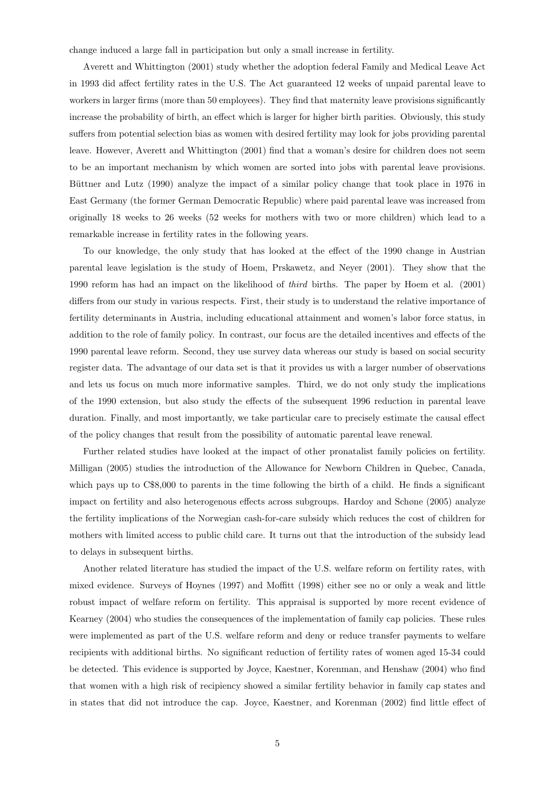change induced a large fall in participation but only a small increase in fertility.

Averett and Whittington (2001) study whether the adoption federal Family and Medical Leave Act in 1993 did affect fertility rates in the U.S. The Act guaranteed 12 weeks of unpaid parental leave to workers in larger firms (more than 50 employees). They find that maternity leave provisions significantly increase the probability of birth, an effect which is larger for higher birth parities. Obviously, this study suffers from potential selection bias as women with desired fertility may look for jobs providing parental leave. However, Averett and Whittington (2001) find that a woman's desire for children does not seem to be an important mechanism by which women are sorted into jobs with parental leave provisions. Büttner and Lutz (1990) analyze the impact of a similar policy change that took place in 1976 in East Germany (the former German Democratic Republic) where paid parental leave was increased from originally 18 weeks to 26 weeks (52 weeks for mothers with two or more children) which lead to a remarkable increase in fertility rates in the following years.

To our knowledge, the only study that has looked at the effect of the 1990 change in Austrian parental leave legislation is the study of Hoem, Prskawetz, and Neyer (2001). They show that the 1990 reform has had an impact on the likelihood of third births. The paper by Hoem et al. (2001) differs from our study in various respects. First, their study is to understand the relative importance of fertility determinants in Austria, including educational attainment and women's labor force status, in addition to the role of family policy. In contrast, our focus are the detailed incentives and effects of the 1990 parental leave reform. Second, they use survey data whereas our study is based on social security register data. The advantage of our data set is that it provides us with a larger number of observations and lets us focus on much more informative samples. Third, we do not only study the implications of the 1990 extension, but also study the effects of the subsequent 1996 reduction in parental leave duration. Finally, and most importantly, we take particular care to precisely estimate the causal effect of the policy changes that result from the possibility of automatic parental leave renewal.

Further related studies have looked at the impact of other pronatalist family policies on fertility. Milligan (2005) studies the introduction of the Allowance for Newborn Children in Quebec, Canada, which pays up to  $C$8,000$  to parents in the time following the birth of a child. He finds a significant impact on fertility and also heterogenous effects across subgroups. Hardoy and Schøne (2005) analyze the fertility implications of the Norwegian cash-for-care subsidy which reduces the cost of children for mothers with limited access to public child care. It turns out that the introduction of the subsidy lead to delays in subsequent births.

Another related literature has studied the impact of the U.S. welfare reform on fertility rates, with mixed evidence. Surveys of Hoynes (1997) and Moffitt (1998) either see no or only a weak and little robust impact of welfare reform on fertility. This appraisal is supported by more recent evidence of Kearney (2004) who studies the consequences of the implementation of family cap policies. These rules were implemented as part of the U.S. welfare reform and deny or reduce transfer payments to welfare recipients with additional births. No significant reduction of fertility rates of women aged 15-34 could be detected. This evidence is supported by Joyce, Kaestner, Korenman, and Henshaw (2004) who find that women with a high risk of recipiency showed a similar fertility behavior in family cap states and in states that did not introduce the cap. Joyce, Kaestner, and Korenman (2002) find little effect of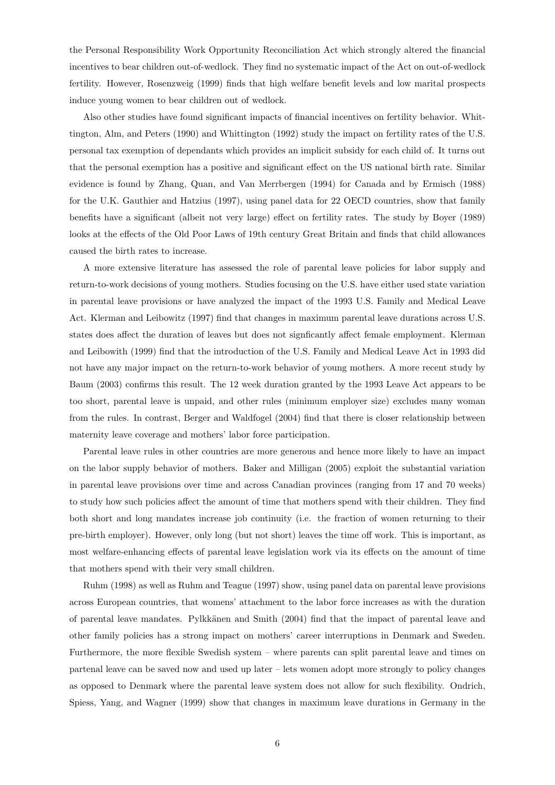the Personal Responsibility Work Opportunity Reconciliation Act which strongly altered the financial incentives to bear children out-of-wedlock. They find no systematic impact of the Act on out-of-wedlock fertility. However, Rosenzweig (1999) finds that high welfare benefit levels and low marital prospects induce young women to bear children out of wedlock.

Also other studies have found significant impacts of financial incentives on fertility behavior. Whittington, Alm, and Peters (1990) and Whittington (1992) study the impact on fertility rates of the U.S. personal tax exemption of dependants which provides an implicit subsidy for each child of. It turns out that the personal exemption has a positive and significant effect on the US national birth rate. Similar evidence is found by Zhang, Quan, and Van Merrbergen (1994) for Canada and by Ermisch (1988) for the U.K. Gauthier and Hatzius (1997), using panel data for 22 OECD countries, show that family benefits have a significant (albeit not very large) effect on fertility rates. The study by Boyer (1989) looks at the effects of the Old Poor Laws of 19th century Great Britain and finds that child allowances caused the birth rates to increase.

A more extensive literature has assessed the role of parental leave policies for labor supply and return-to-work decisions of young mothers. Studies focusing on the U.S. have either used state variation in parental leave provisions or have analyzed the impact of the 1993 U.S. Family and Medical Leave Act. Klerman and Leibowitz (1997) find that changes in maximum parental leave durations across U.S. states does affect the duration of leaves but does not signficantly affect female employment. Klerman and Leibowith (1999) find that the introduction of the U.S. Family and Medical Leave Act in 1993 did not have any major impact on the return-to-work behavior of young mothers. A more recent study by Baum (2003) confirms this result. The 12 week duration granted by the 1993 Leave Act appears to be too short, parental leave is unpaid, and other rules (minimum employer size) excludes many woman from the rules. In contrast, Berger and Waldfogel (2004) find that there is closer relationship between maternity leave coverage and mothers' labor force participation.

Parental leave rules in other countries are more generous and hence more likely to have an impact on the labor supply behavior of mothers. Baker and Milligan (2005) exploit the substantial variation in parental leave provisions over time and across Canadian provinces (ranging from 17 and 70 weeks) to study how such policies affect the amount of time that mothers spend with their children. They find both short and long mandates increase job continuity (i.e. the fraction of women returning to their pre-birth employer). However, only long (but not short) leaves the time off work. This is important, as most welfare-enhancing effects of parental leave legislation work via its effects on the amount of time that mothers spend with their very small children.

Ruhm (1998) as well as Ruhm and Teague (1997) show, using panel data on parental leave provisions across European countries, that womens' attachment to the labor force increases as with the duration of parental leave mandates. Pylkkänen and Smith (2004) find that the impact of parental leave and other family policies has a strong impact on mothers' career interruptions in Denmark and Sweden. Furthermore, the more flexible Swedish system – where parents can split parental leave and times on partenal leave can be saved now and used up later – lets women adopt more strongly to policy changes as opposed to Denmark where the parental leave system does not allow for such flexibility. Ondrich, Spiess, Yang, and Wagner (1999) show that changes in maximum leave durations in Germany in the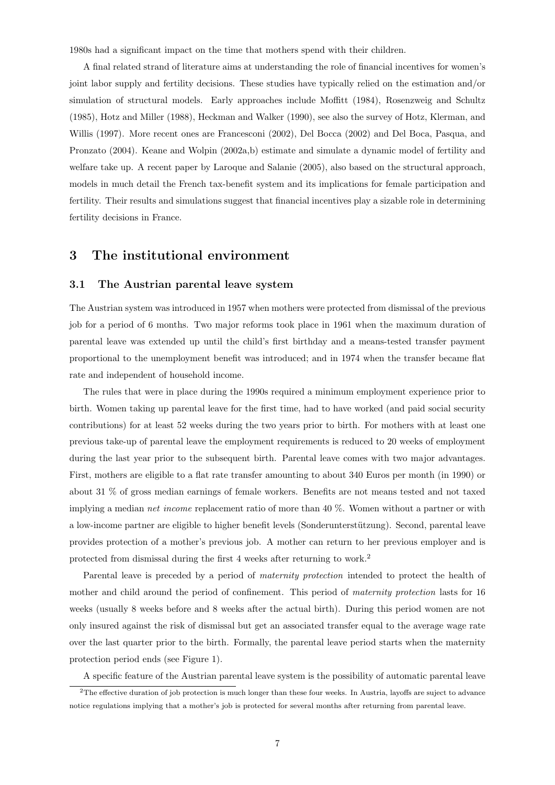1980s had a significant impact on the time that mothers spend with their children.

A final related strand of literature aims at understanding the role of financial incentives for women's joint labor supply and fertility decisions. These studies have typically relied on the estimation and/or simulation of structural models. Early approaches include Moffitt (1984), Rosenzweig and Schultz (1985), Hotz and Miller (1988), Heckman and Walker (1990), see also the survey of Hotz, Klerman, and Willis (1997). More recent ones are Francesconi (2002), Del Bocca (2002) and Del Boca, Pasqua, and Pronzato (2004). Keane and Wolpin (2002a,b) estimate and simulate a dynamic model of fertility and welfare take up. A recent paper by Laroque and Salanie (2005), also based on the structural approach, models in much detail the French tax-benefit system and its implications for female participation and fertility. Their results and simulations suggest that financial incentives play a sizable role in determining fertility decisions in France.

## 3 The institutional environment

#### 3.1 The Austrian parental leave system

The Austrian system was introduced in 1957 when mothers were protected from dismissal of the previous job for a period of 6 months. Two major reforms took place in 1961 when the maximum duration of parental leave was extended up until the child's first birthday and a means-tested transfer payment proportional to the unemployment benefit was introduced; and in 1974 when the transfer became flat rate and independent of household income.

The rules that were in place during the 1990s required a minimum employment experience prior to birth. Women taking up parental leave for the first time, had to have worked (and paid social security contributions) for at least 52 weeks during the two years prior to birth. For mothers with at least one previous take-up of parental leave the employment requirements is reduced to 20 weeks of employment during the last year prior to the subsequent birth. Parental leave comes with two major advantages. First, mothers are eligible to a flat rate transfer amounting to about 340 Euros per month (in 1990) or about 31 % of gross median earnings of female workers. Benefits are not means tested and not taxed implying a median net income replacement ratio of more than 40 %. Women without a partner or with a low-income partner are eligible to higher benefit levels (Sonderunterstützung). Second, parental leave provides protection of a mother's previous job. A mother can return to her previous employer and is protected from dismissal during the first 4 weeks after returning to work.<sup>2</sup>

Parental leave is preceded by a period of *maternity protection* intended to protect the health of mother and child around the period of confinement. This period of *maternity protection* lasts for 16 weeks (usually 8 weeks before and 8 weeks after the actual birth). During this period women are not only insured against the risk of dismissal but get an associated transfer equal to the average wage rate over the last quarter prior to the birth. Formally, the parental leave period starts when the maternity protection period ends (see Figure 1).

A specific feature of the Austrian parental leave system is the possibility of automatic parental leave

<sup>&</sup>lt;sup>2</sup>The effective duration of job protection is much longer than these four weeks. In Austria, layoffs are suject to advance notice regulations implying that a mother's job is protected for several months after returning from parental leave.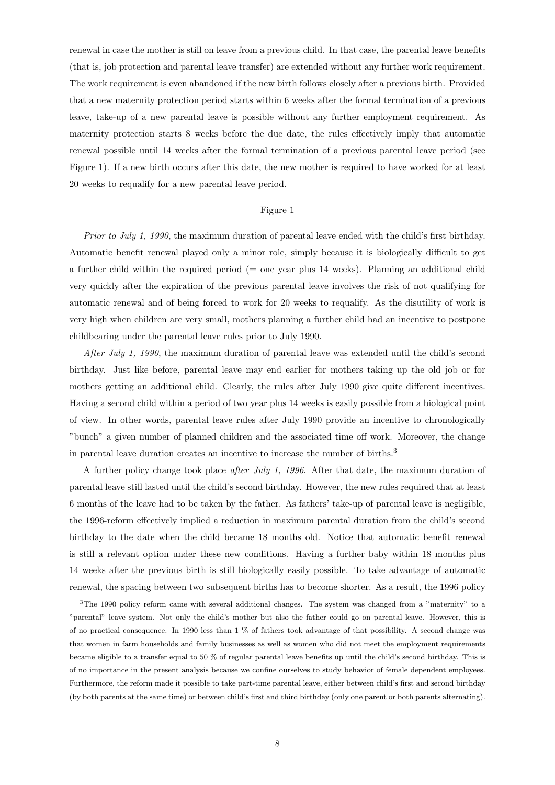renewal in case the mother is still on leave from a previous child. In that case, the parental leave benefits (that is, job protection and parental leave transfer) are extended without any further work requirement. The work requirement is even abandoned if the new birth follows closely after a previous birth. Provided that a new maternity protection period starts within 6 weeks after the formal termination of a previous leave, take-up of a new parental leave is possible without any further employment requirement. As maternity protection starts 8 weeks before the due date, the rules effectively imply that automatic renewal possible until 14 weeks after the formal termination of a previous parental leave period (see Figure 1). If a new birth occurs after this date, the new mother is required to have worked for at least 20 weeks to requalify for a new parental leave period.

#### Figure 1

Prior to July 1, 1990, the maximum duration of parental leave ended with the child's first birthday. Automatic benefit renewal played only a minor role, simply because it is biologically difficult to get a further child within the required period (= one year plus 14 weeks). Planning an additional child very quickly after the expiration of the previous parental leave involves the risk of not qualifying for automatic renewal and of being forced to work for 20 weeks to requalify. As the disutility of work is very high when children are very small, mothers planning a further child had an incentive to postpone childbearing under the parental leave rules prior to July 1990.

After July 1, 1990, the maximum duration of parental leave was extended until the child's second birthday. Just like before, parental leave may end earlier for mothers taking up the old job or for mothers getting an additional child. Clearly, the rules after July 1990 give quite different incentives. Having a second child within a period of two year plus 14 weeks is easily possible from a biological point of view. In other words, parental leave rules after July 1990 provide an incentive to chronologically "bunch" a given number of planned children and the associated time off work. Moreover, the change in parental leave duration creates an incentive to increase the number of births.<sup>3</sup>

A further policy change took place after July 1, 1996. After that date, the maximum duration of parental leave still lasted until the child's second birthday. However, the new rules required that at least 6 months of the leave had to be taken by the father. As fathers' take-up of parental leave is negligible, the 1996-reform effectively implied a reduction in maximum parental duration from the child's second birthday to the date when the child became 18 months old. Notice that automatic benefit renewal is still a relevant option under these new conditions. Having a further baby within 18 months plus 14 weeks after the previous birth is still biologically easily possible. To take advantage of automatic renewal, the spacing between two subsequent births has to become shorter. As a result, the 1996 policy

<sup>3</sup>The 1990 policy reform came with several additional changes. The system was changed from a "maternity" to a "parental" leave system. Not only the child's mother but also the father could go on parental leave. However, this is of no practical consequence. In 1990 less than 1 % of fathers took advantage of that possibility. A second change was that women in farm households and family businesses as well as women who did not meet the employment requirements became eligible to a transfer equal to 50 % of regular parental leave benefits up until the child's second birthday. This is of no importance in the present analysis because we confine ourselves to study behavior of female dependent employees. Furthermore, the reform made it possible to take part-time parental leave, either between child's first and second birthday (by both parents at the same time) or between child's first and third birthday (only one parent or both parents alternating).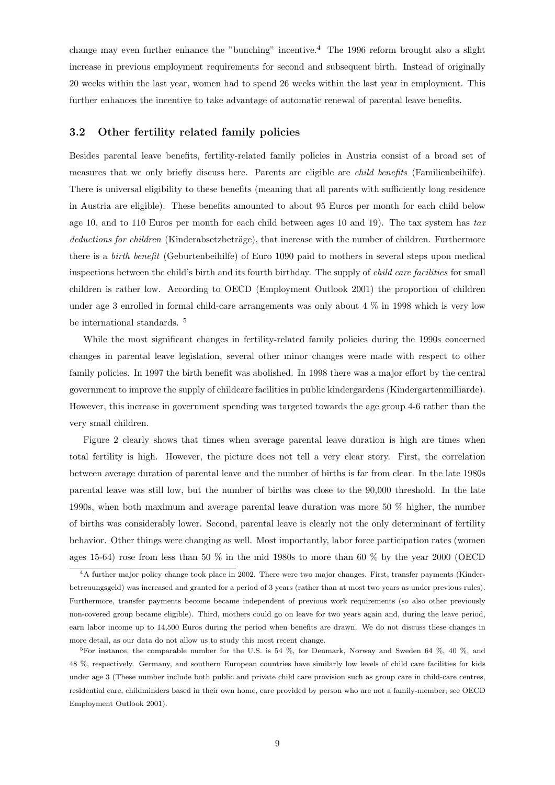change may even further enhance the "bunching" incentive.<sup>4</sup> The 1996 reform brought also a slight increase in previous employment requirements for second and subsequent birth. Instead of originally 20 weeks within the last year, women had to spend 26 weeks within the last year in employment. This further enhances the incentive to take advantage of automatic renewal of parental leave benefits.

## 3.2 Other fertility related family policies

Besides parental leave benefits, fertility-related family policies in Austria consist of a broad set of measures that we only briefly discuss here. Parents are eligible are child benefits (Familienbeihilfe). There is universal eligibility to these benefits (meaning that all parents with sufficiently long residence in Austria are eligible). These benefits amounted to about 95 Euros per month for each child below age 10, and to 110 Euros per month for each child between ages 10 and 19). The tax system has  $tax$ deductions for children (Kinderabsetzbeträge), that increase with the number of children. Furthermore there is a birth benefit (Geburtenbeihilfe) of Euro 1090 paid to mothers in several steps upon medical inspections between the child's birth and its fourth birthday. The supply of child care facilities for small children is rather low. According to OECD (Employment Outlook 2001) the proportion of children under age 3 enrolled in formal child-care arrangements was only about 4 % in 1998 which is very low be international standards. <sup>5</sup>

While the most significant changes in fertility-related family policies during the 1990s concerned changes in parental leave legislation, several other minor changes were made with respect to other family policies. In 1997 the birth benefit was abolished. In 1998 there was a major effort by the central government to improve the supply of childcare facilities in public kindergardens (Kindergartenmilliarde). However, this increase in government spending was targeted towards the age group 4-6 rather than the very small children.

Figure 2 clearly shows that times when average parental leave duration is high are times when total fertility is high. However, the picture does not tell a very clear story. First, the correlation between average duration of parental leave and the number of births is far from clear. In the late 1980s parental leave was still low, but the number of births was close to the 90,000 threshold. In the late 1990s, when both maximum and average parental leave duration was more 50 % higher, the number of births was considerably lower. Second, parental leave is clearly not the only determinant of fertility behavior. Other things were changing as well. Most importantly, labor force participation rates (women ages 15-64) rose from less than 50  $\%$  in the mid 1980s to more than 60  $\%$  by the year 2000 (OECD)

<sup>4</sup>A further major policy change took place in 2002. There were two major changes. First, transfer payments (Kinderbetreuungsgeld) was increased and granted for a period of 3 years (rather than at most two years as under previous rules). Furthermore, transfer payments become became independent of previous work requirements (so also other previously non-covered group became eligible). Third, mothers could go on leave for two years again and, during the leave period, earn labor income up to 14,500 Euros during the period when benefits are drawn. We do not discuss these changes in more detail, as our data do not allow us to study this most recent change.

<sup>&</sup>lt;sup>5</sup>For instance, the comparable number for the U.S. is 54  $\%$ , for Denmark, Norway and Sweden 64  $\%$ , 40  $\%$ , and 48 %, respectively. Germany, and southern European countries have similarly low levels of child care facilities for kids under age 3 (These number include both public and private child care provision such as group care in child-care centres, residential care, childminders based in their own home, care provided by person who are not a family-member; see OECD Employment Outlook 2001).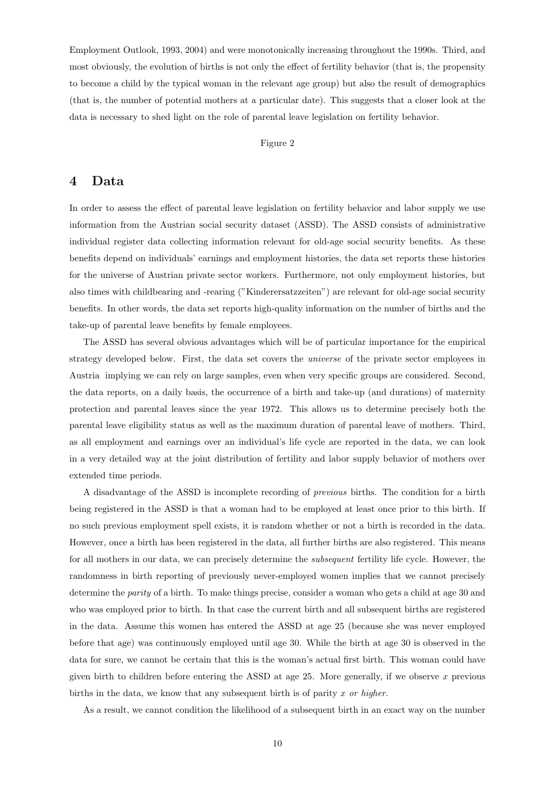Employment Outlook, 1993, 2004) and were monotonically increasing throughout the 1990s. Third, and most obviously, the evolution of births is not only the effect of fertility behavior (that is, the propensity to become a child by the typical woman in the relevant age group) but also the result of demographics (that is, the number of potential mothers at a particular date). This suggests that a closer look at the data is necessary to shed light on the role of parental leave legislation on fertility behavior.

#### Figure 2

## 4 Data

In order to assess the effect of parental leave legislation on fertility behavior and labor supply we use information from the Austrian social security dataset (ASSD). The ASSD consists of administrative individual register data collecting information relevant for old-age social security benefits. As these benefits depend on individuals' earnings and employment histories, the data set reports these histories for the universe of Austrian private sector workers. Furthermore, not only employment histories, but also times with childbearing and -rearing ("Kinderersatzzeiten") are relevant for old-age social security benefits. In other words, the data set reports high-quality information on the number of births and the take-up of parental leave benefits by female employees.

The ASSD has several obvious advantages which will be of particular importance for the empirical strategy developed below. First, the data set covers the *universe* of the private sector employees in Austria implying we can rely on large samples, even when very specific groups are considered. Second, the data reports, on a daily basis, the occurrence of a birth and take-up (and durations) of maternity protection and parental leaves since the year 1972. This allows us to determine precisely both the parental leave eligibility status as well as the maximum duration of parental leave of mothers. Third, as all employment and earnings over an individual's life cycle are reported in the data, we can look in a very detailed way at the joint distribution of fertility and labor supply behavior of mothers over extended time periods.

A disadvantage of the ASSD is incomplete recording of previous births. The condition for a birth being registered in the ASSD is that a woman had to be employed at least once prior to this birth. If no such previous employment spell exists, it is random whether or not a birth is recorded in the data. However, once a birth has been registered in the data, all further births are also registered. This means for all mothers in our data, we can precisely determine the *subsequent* fertility life cycle. However, the randomness in birth reporting of previously never-employed women implies that we cannot precisely determine the parity of a birth. To make things precise, consider a woman who gets a child at age 30 and who was employed prior to birth. In that case the current birth and all subsequent births are registered in the data. Assume this women has entered the ASSD at age 25 (because she was never employed before that age) was continuously employed until age 30. While the birth at age 30 is observed in the data for sure, we cannot be certain that this is the woman's actual first birth. This woman could have given birth to children before entering the ASSD at age 25. More generally, if we observe  $x$  previous births in the data, we know that any subsequent birth is of parity  $x$  or higher.

As a result, we cannot condition the likelihood of a subsequent birth in an exact way on the number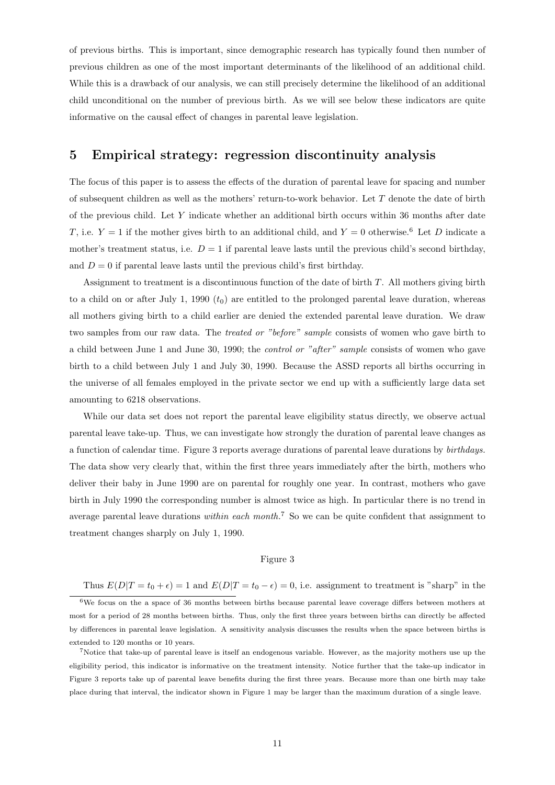of previous births. This is important, since demographic research has typically found then number of previous children as one of the most important determinants of the likelihood of an additional child. While this is a drawback of our analysis, we can still precisely determine the likelihood of an additional child unconditional on the number of previous birth. As we will see below these indicators are quite informative on the causal effect of changes in parental leave legislation.

## 5 Empirical strategy: regression discontinuity analysis

The focus of this paper is to assess the effects of the duration of parental leave for spacing and number of subsequent children as well as the mothers' return-to-work behavior. Let T denote the date of birth of the previous child. Let Y indicate whether an additional birth occurs within 36 months after date T, i.e.  $Y = 1$  if the mother gives birth to an additional child, and  $Y = 0$  otherwise.<sup>6</sup> Let D indicate a mother's treatment status, i.e.  $D = 1$  if parental leave lasts until the previous child's second birthday, and  $D = 0$  if parental leave lasts until the previous child's first birthday.

Assignment to treatment is a discontinuous function of the date of birth T. All mothers giving birth to a child on or after July 1, 1990  $(t_0)$  are entitled to the prolonged parental leave duration, whereas all mothers giving birth to a child earlier are denied the extended parental leave duration. We draw two samples from our raw data. The treated or "before" sample consists of women who gave birth to a child between June 1 and June 30, 1990; the control or "after" sample consists of women who gave birth to a child between July 1 and July 30, 1990. Because the ASSD reports all births occurring in the universe of all females employed in the private sector we end up with a sufficiently large data set amounting to 6218 observations.

While our data set does not report the parental leave eligibility status directly, we observe actual parental leave take-up. Thus, we can investigate how strongly the duration of parental leave changes as a function of calendar time. Figure 3 reports average durations of parental leave durations by birthdays. The data show very clearly that, within the first three years immediately after the birth, mothers who deliver their baby in June 1990 are on parental for roughly one year. In contrast, mothers who gave birth in July 1990 the corresponding number is almost twice as high. In particular there is no trend in average parental leave durations within each month.<sup>7</sup> So we can be quite confident that assignment to treatment changes sharply on July 1, 1990.

#### Figure 3

Thus  $E(D|T = t_0 + \epsilon) = 1$  and  $E(D|T = t_0 - \epsilon) = 0$ , i.e. assignment to treatment is "sharp" in the

<sup>6</sup>We focus on the a space of 36 months between births because parental leave coverage differs between mothers at most for a period of 28 months between births. Thus, only the first three years between births can directly be affected by differences in parental leave legislation. A sensitivity analysis discusses the results when the space between births is extended to 120 months or 10 years.

<sup>7</sup>Notice that take-up of parental leave is itself an endogenous variable. However, as the majority mothers use up the eligibility period, this indicator is informative on the treatment intensity. Notice further that the take-up indicator in Figure 3 reports take up of parental leave benefits during the first three years. Because more than one birth may take place during that interval, the indicator shown in Figure 1 may be larger than the maximum duration of a single leave.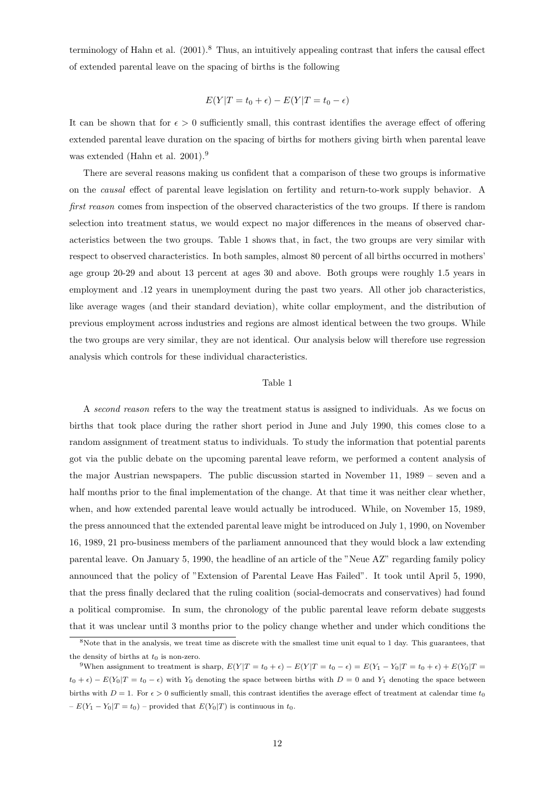terminology of Hahn et al.  $(2001)^8$  Thus, an intuitively appealing contrast that infers the causal effect of extended parental leave on the spacing of births is the following

$$
E(Y|T = t_0 + \epsilon) - E(Y|T = t_0 - \epsilon)
$$

It can be shown that for  $\epsilon > 0$  sufficiently small, this contrast identifies the average effect of offering extended parental leave duration on the spacing of births for mothers giving birth when parental leave was extended (Hahn et al. 2001).<sup>9</sup>

There are several reasons making us confident that a comparison of these two groups is informative on the causal effect of parental leave legislation on fertility and return-to-work supply behavior. A first reason comes from inspection of the observed characteristics of the two groups. If there is random selection into treatment status, we would expect no major differences in the means of observed characteristics between the two groups. Table 1 shows that, in fact, the two groups are very similar with respect to observed characteristics. In both samples, almost 80 percent of all births occurred in mothers' age group 20-29 and about 13 percent at ages 30 and above. Both groups were roughly 1.5 years in employment and .12 years in unemployment during the past two years. All other job characteristics, like average wages (and their standard deviation), white collar employment, and the distribution of previous employment across industries and regions are almost identical between the two groups. While the two groups are very similar, they are not identical. Our analysis below will therefore use regression analysis which controls for these individual characteristics.

#### Table 1

A second reason refers to the way the treatment status is assigned to individuals. As we focus on births that took place during the rather short period in June and July 1990, this comes close to a random assignment of treatment status to individuals. To study the information that potential parents got via the public debate on the upcoming parental leave reform, we performed a content analysis of the major Austrian newspapers. The public discussion started in November 11, 1989 – seven and a half months prior to the final implementation of the change. At that time it was neither clear whether, when, and how extended parental leave would actually be introduced. While, on November 15, 1989, the press announced that the extended parental leave might be introduced on July 1, 1990, on November 16, 1989, 21 pro-business members of the parliament announced that they would block a law extending parental leave. On January 5, 1990, the headline of an article of the "Neue AZ" regarding family policy announced that the policy of "Extension of Parental Leave Has Failed". It took until April 5, 1990, that the press finally declared that the ruling coalition (social-democrats and conservatives) had found a political compromise. In sum, the chronology of the public parental leave reform debate suggests that it was unclear until 3 months prior to the policy change whether and under which conditions the

<sup>8</sup>Note that in the analysis, we treat time as discrete with the smallest time unit equal to 1 day. This guarantees, that the density of births at  $t_0$  is non-zero.

<sup>9</sup>When assignment to treatment is sharp,  $E(Y|T = t_0 + \epsilon) - E(Y|T = t_0 - \epsilon) = E(Y_1 - Y_0|T = t_0 + \epsilon) + E(Y_0|T = t_0 + \epsilon)$  $t_0 + \epsilon$ ) −  $E(Y_0|T = t_0 - \epsilon)$  with  $Y_0$  denoting the space between births with  $D = 0$  and  $Y_1$  denoting the space between births with  $D = 1$ . For  $\epsilon > 0$  sufficiently small, this contrast identifies the average effect of treatment at calendar time  $t_0$  $-E(Y_1 - Y_0|T = t_0)$  – provided that  $E(Y_0|T)$  is continuous in  $t_0$ .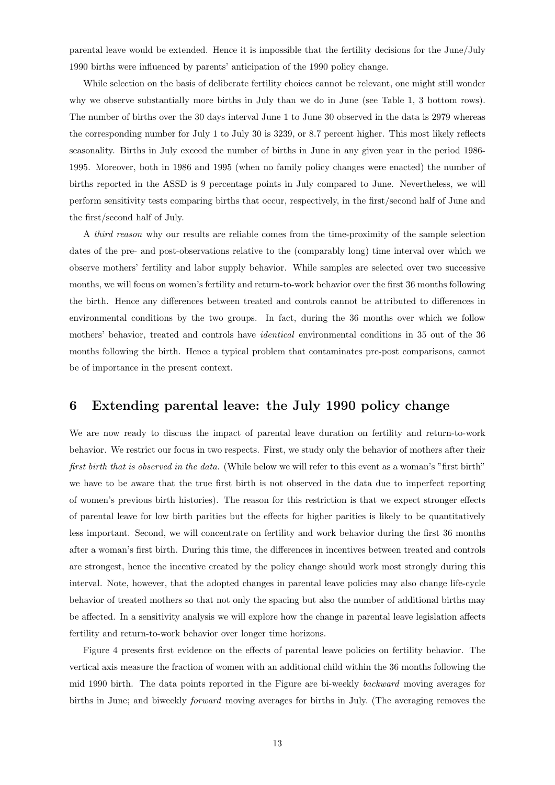parental leave would be extended. Hence it is impossible that the fertility decisions for the June/July 1990 births were influenced by parents' anticipation of the 1990 policy change.

While selection on the basis of deliberate fertility choices cannot be relevant, one might still wonder why we observe substantially more births in July than we do in June (see Table 1, 3 bottom rows). The number of births over the 30 days interval June 1 to June 30 observed in the data is 2979 whereas the corresponding number for July 1 to July 30 is 3239, or 8.7 percent higher. This most likely reflects seasonality. Births in July exceed the number of births in June in any given year in the period 1986- 1995. Moreover, both in 1986 and 1995 (when no family policy changes were enacted) the number of births reported in the ASSD is 9 percentage points in July compared to June. Nevertheless, we will perform sensitivity tests comparing births that occur, respectively, in the first/second half of June and the first/second half of July.

A third reason why our results are reliable comes from the time-proximity of the sample selection dates of the pre- and post-observations relative to the (comparably long) time interval over which we observe mothers' fertility and labor supply behavior. While samples are selected over two successive months, we will focus on women's fertility and return-to-work behavior over the first 36 months following the birth. Hence any differences between treated and controls cannot be attributed to differences in environmental conditions by the two groups. In fact, during the 36 months over which we follow mothers' behavior, treated and controls have identical environmental conditions in 35 out of the 36 months following the birth. Hence a typical problem that contaminates pre-post comparisons, cannot be of importance in the present context.

## 6 Extending parental leave: the July 1990 policy change

We are now ready to discuss the impact of parental leave duration on fertility and return-to-work behavior. We restrict our focus in two respects. First, we study only the behavior of mothers after their first birth that is observed in the data. (While below we will refer to this event as a woman's "first birth" we have to be aware that the true first birth is not observed in the data due to imperfect reporting of women's previous birth histories). The reason for this restriction is that we expect stronger effects of parental leave for low birth parities but the effects for higher parities is likely to be quantitatively less important. Second, we will concentrate on fertility and work behavior during the first 36 months after a woman's first birth. During this time, the differences in incentives between treated and controls are strongest, hence the incentive created by the policy change should work most strongly during this interval. Note, however, that the adopted changes in parental leave policies may also change life-cycle behavior of treated mothers so that not only the spacing but also the number of additional births may be affected. In a sensitivity analysis we will explore how the change in parental leave legislation affects fertility and return-to-work behavior over longer time horizons.

Figure 4 presents first evidence on the effects of parental leave policies on fertility behavior. The vertical axis measure the fraction of women with an additional child within the 36 months following the mid 1990 birth. The data points reported in the Figure are bi-weekly backward moving averages for births in June; and biweekly forward moving averages for births in July. (The averaging removes the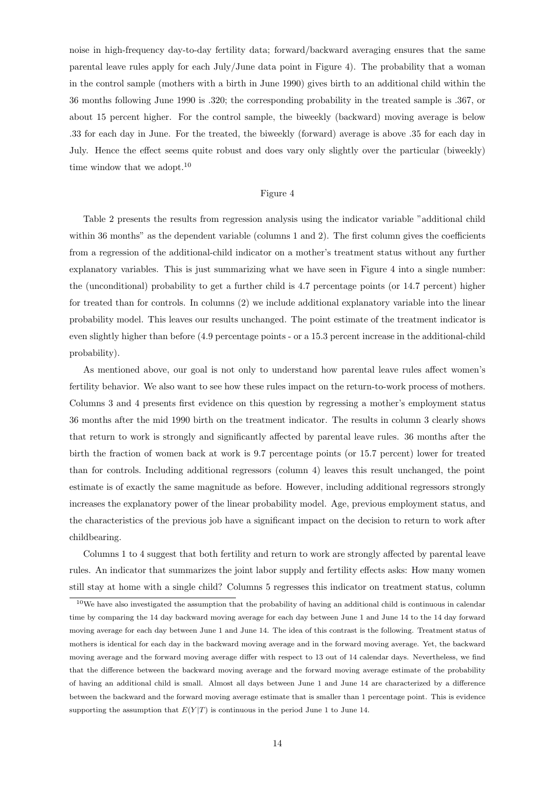noise in high-frequency day-to-day fertility data; forward/backward averaging ensures that the same parental leave rules apply for each July/June data point in Figure 4). The probability that a woman in the control sample (mothers with a birth in June 1990) gives birth to an additional child within the 36 months following June 1990 is .320; the corresponding probability in the treated sample is .367, or about 15 percent higher. For the control sample, the biweekly (backward) moving average is below .33 for each day in June. For the treated, the biweekly (forward) average is above .35 for each day in July. Hence the effect seems quite robust and does vary only slightly over the particular (biweekly) time window that we adopt.<sup>10</sup>

#### Figure 4

Table 2 presents the results from regression analysis using the indicator variable "additional child within 36 months" as the dependent variable (columns 1 and 2). The first column gives the coefficients from a regression of the additional-child indicator on a mother's treatment status without any further explanatory variables. This is just summarizing what we have seen in Figure 4 into a single number: the (unconditional) probability to get a further child is 4.7 percentage points (or 14.7 percent) higher for treated than for controls. In columns (2) we include additional explanatory variable into the linear probability model. This leaves our results unchanged. The point estimate of the treatment indicator is even slightly higher than before (4.9 percentage points - or a 15.3 percent increase in the additional-child probability).

As mentioned above, our goal is not only to understand how parental leave rules affect women's fertility behavior. We also want to see how these rules impact on the return-to-work process of mothers. Columns 3 and 4 presents first evidence on this question by regressing a mother's employment status 36 months after the mid 1990 birth on the treatment indicator. The results in column 3 clearly shows that return to work is strongly and significantly affected by parental leave rules. 36 months after the birth the fraction of women back at work is 9.7 percentage points (or 15.7 percent) lower for treated than for controls. Including additional regressors (column 4) leaves this result unchanged, the point estimate is of exactly the same magnitude as before. However, including additional regressors strongly increases the explanatory power of the linear probability model. Age, previous employment status, and the characteristics of the previous job have a significant impact on the decision to return to work after childbearing.

Columns 1 to 4 suggest that both fertility and return to work are strongly affected by parental leave rules. An indicator that summarizes the joint labor supply and fertility effects asks: How many women still stay at home with a single child? Columns 5 regresses this indicator on treatment status, column

 $10$ We have also investigated the assumption that the probability of having an additional child is continuous in calendar time by comparing the 14 day backward moving average for each day between June 1 and June 14 to the 14 day forward moving average for each day between June 1 and June 14. The idea of this contrast is the following. Treatment status of mothers is identical for each day in the backward moving average and in the forward moving average. Yet, the backward moving average and the forward moving average differ with respect to 13 out of 14 calendar days. Nevertheless, we find that the difference between the backward moving average and the forward moving average estimate of the probability of having an additional child is small. Almost all days between June 1 and June 14 are characterized by a difference between the backward and the forward moving average estimate that is smaller than 1 percentage point. This is evidence supporting the assumption that  $E(Y|T)$  is continuous in the period June 1 to June 14.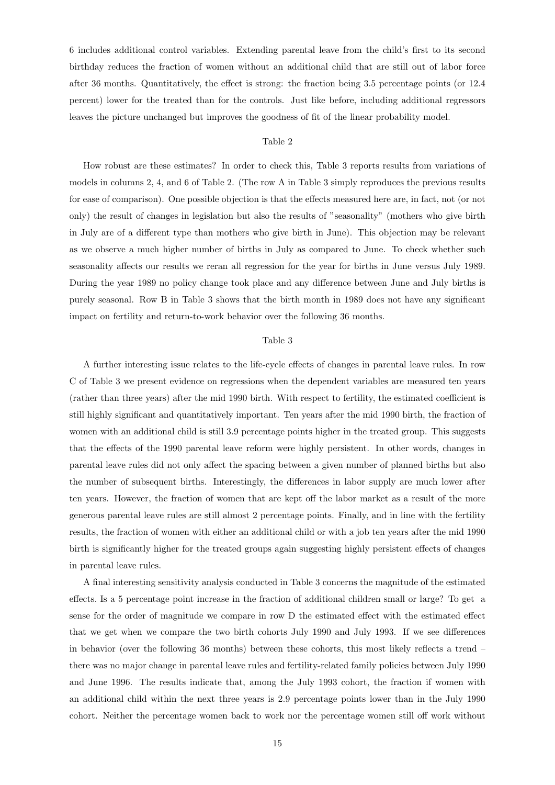6 includes additional control variables. Extending parental leave from the child's first to its second birthday reduces the fraction of women without an additional child that are still out of labor force after 36 months. Quantitatively, the effect is strong: the fraction being 3.5 percentage points (or 12.4 percent) lower for the treated than for the controls. Just like before, including additional regressors leaves the picture unchanged but improves the goodness of fit of the linear probability model.

#### Table 2

How robust are these estimates? In order to check this, Table 3 reports results from variations of models in columns 2, 4, and 6 of Table 2. (The row A in Table 3 simply reproduces the previous results for ease of comparison). One possible objection is that the effects measured here are, in fact, not (or not only) the result of changes in legislation but also the results of "seasonality" (mothers who give birth in July are of a different type than mothers who give birth in June). This objection may be relevant as we observe a much higher number of births in July as compared to June. To check whether such seasonality affects our results we reran all regression for the year for births in June versus July 1989. During the year 1989 no policy change took place and any difference between June and July births is purely seasonal. Row B in Table 3 shows that the birth month in 1989 does not have any significant impact on fertility and return-to-work behavior over the following 36 months.

#### Table 3

A further interesting issue relates to the life-cycle effects of changes in parental leave rules. In row C of Table 3 we present evidence on regressions when the dependent variables are measured ten years (rather than three years) after the mid 1990 birth. With respect to fertility, the estimated coefficient is still highly significant and quantitatively important. Ten years after the mid 1990 birth, the fraction of women with an additional child is still 3.9 percentage points higher in the treated group. This suggests that the effects of the 1990 parental leave reform were highly persistent. In other words, changes in parental leave rules did not only affect the spacing between a given number of planned births but also the number of subsequent births. Interestingly, the differences in labor supply are much lower after ten years. However, the fraction of women that are kept off the labor market as a result of the more generous parental leave rules are still almost 2 percentage points. Finally, and in line with the fertility results, the fraction of women with either an additional child or with a job ten years after the mid 1990 birth is significantly higher for the treated groups again suggesting highly persistent effects of changes in parental leave rules.

A final interesting sensitivity analysis conducted in Table 3 concerns the magnitude of the estimated effects. Is a 5 percentage point increase in the fraction of additional children small or large? To get a sense for the order of magnitude we compare in row D the estimated effect with the estimated effect that we get when we compare the two birth cohorts July 1990 and July 1993. If we see differences in behavior (over the following 36 months) between these cohorts, this most likely reflects a trend – there was no major change in parental leave rules and fertility-related family policies between July 1990 and June 1996. The results indicate that, among the July 1993 cohort, the fraction if women with an additional child within the next three years is 2.9 percentage points lower than in the July 1990 cohort. Neither the percentage women back to work nor the percentage women still off work without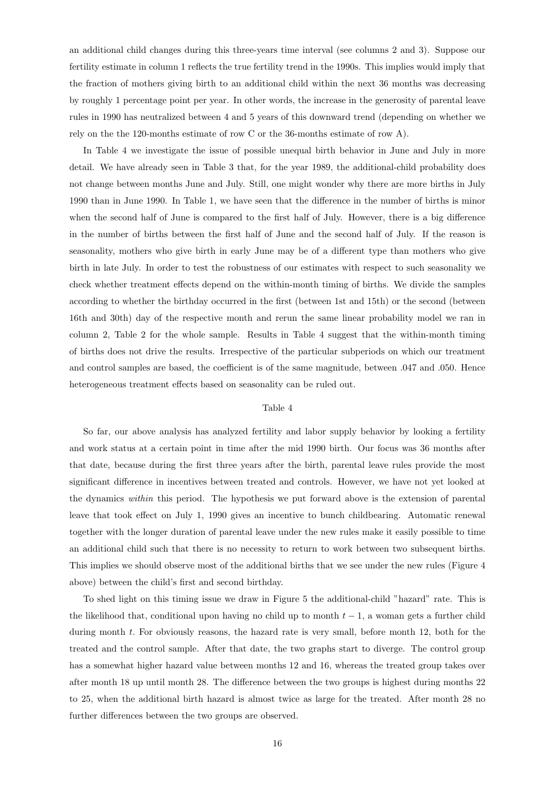an additional child changes during this three-years time interval (see columns 2 and 3). Suppose our fertility estimate in column 1 reflects the true fertility trend in the 1990s. This implies would imply that the fraction of mothers giving birth to an additional child within the next 36 months was decreasing by roughly 1 percentage point per year. In other words, the increase in the generosity of parental leave rules in 1990 has neutralized between 4 and 5 years of this downward trend (depending on whether we rely on the the 120-months estimate of row C or the 36-months estimate of row A).

In Table 4 we investigate the issue of possible unequal birth behavior in June and July in more detail. We have already seen in Table 3 that, for the year 1989, the additional-child probability does not change between months June and July. Still, one might wonder why there are more births in July 1990 than in June 1990. In Table 1, we have seen that the difference in the number of births is minor when the second half of June is compared to the first half of July. However, there is a big difference in the number of births between the first half of June and the second half of July. If the reason is seasonality, mothers who give birth in early June may be of a different type than mothers who give birth in late July. In order to test the robustness of our estimates with respect to such seasonality we check whether treatment effects depend on the within-month timing of births. We divide the samples according to whether the birthday occurred in the first (between 1st and 15th) or the second (between 16th and 30th) day of the respective month and rerun the same linear probability model we ran in column 2, Table 2 for the whole sample. Results in Table 4 suggest that the within-month timing of births does not drive the results. Irrespective of the particular subperiods on which our treatment and control samples are based, the coefficient is of the same magnitude, between .047 and .050. Hence heterogeneous treatment effects based on seasonality can be ruled out.

#### Table 4

So far, our above analysis has analyzed fertility and labor supply behavior by looking a fertility and work status at a certain point in time after the mid 1990 birth. Our focus was 36 months after that date, because during the first three years after the birth, parental leave rules provide the most significant difference in incentives between treated and controls. However, we have not yet looked at the dynamics within this period. The hypothesis we put forward above is the extension of parental leave that took effect on July 1, 1990 gives an incentive to bunch childbearing. Automatic renewal together with the longer duration of parental leave under the new rules make it easily possible to time an additional child such that there is no necessity to return to work between two subsequent births. This implies we should observe most of the additional births that we see under the new rules (Figure 4 above) between the child's first and second birthday.

To shed light on this timing issue we draw in Figure 5 the additional-child "hazard" rate. This is the likelihood that, conditional upon having no child up to month  $t - 1$ , a woman gets a further child during month t. For obviously reasons, the hazard rate is very small, before month 12, both for the treated and the control sample. After that date, the two graphs start to diverge. The control group has a somewhat higher hazard value between months 12 and 16, whereas the treated group takes over after month 18 up until month 28. The difference between the two groups is highest during months 22 to 25, when the additional birth hazard is almost twice as large for the treated. After month 28 no further differences between the two groups are observed.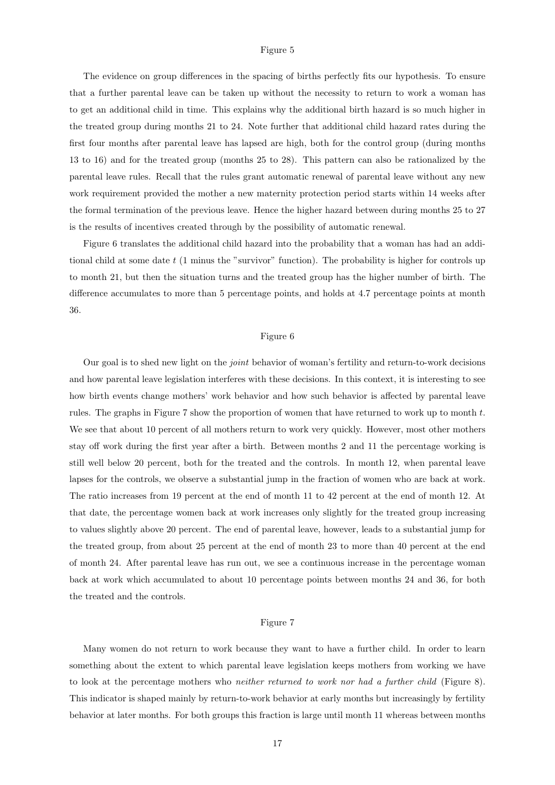#### Figure 5

The evidence on group differences in the spacing of births perfectly fits our hypothesis. To ensure that a further parental leave can be taken up without the necessity to return to work a woman has to get an additional child in time. This explains why the additional birth hazard is so much higher in the treated group during months 21 to 24. Note further that additional child hazard rates during the first four months after parental leave has lapsed are high, both for the control group (during months 13 to 16) and for the treated group (months 25 to 28). This pattern can also be rationalized by the parental leave rules. Recall that the rules grant automatic renewal of parental leave without any new work requirement provided the mother a new maternity protection period starts within 14 weeks after the formal termination of the previous leave. Hence the higher hazard between during months 25 to 27 is the results of incentives created through by the possibility of automatic renewal.

Figure 6 translates the additional child hazard into the probability that a woman has had an additional child at some date t (1 minus the "survivor" function). The probability is higher for controls up to month 21, but then the situation turns and the treated group has the higher number of birth. The difference accumulates to more than 5 percentage points, and holds at 4.7 percentage points at month 36.

#### Figure 6

Our goal is to shed new light on the joint behavior of woman's fertility and return-to-work decisions and how parental leave legislation interferes with these decisions. In this context, it is interesting to see how birth events change mothers' work behavior and how such behavior is affected by parental leave rules. The graphs in Figure 7 show the proportion of women that have returned to work up to month  $t$ . We see that about 10 percent of all mothers return to work very quickly. However, most other mothers stay off work during the first year after a birth. Between months 2 and 11 the percentage working is still well below 20 percent, both for the treated and the controls. In month 12, when parental leave lapses for the controls, we observe a substantial jump in the fraction of women who are back at work. The ratio increases from 19 percent at the end of month 11 to 42 percent at the end of month 12. At that date, the percentage women back at work increases only slightly for the treated group increasing to values slightly above 20 percent. The end of parental leave, however, leads to a substantial jump for the treated group, from about 25 percent at the end of month 23 to more than 40 percent at the end of month 24. After parental leave has run out, we see a continuous increase in the percentage woman back at work which accumulated to about 10 percentage points between months 24 and 36, for both the treated and the controls.

#### Figure 7

Many women do not return to work because they want to have a further child. In order to learn something about the extent to which parental leave legislation keeps mothers from working we have to look at the percentage mothers who neither returned to work nor had a further child (Figure 8). This indicator is shaped mainly by return-to-work behavior at early months but increasingly by fertility behavior at later months. For both groups this fraction is large until month 11 whereas between months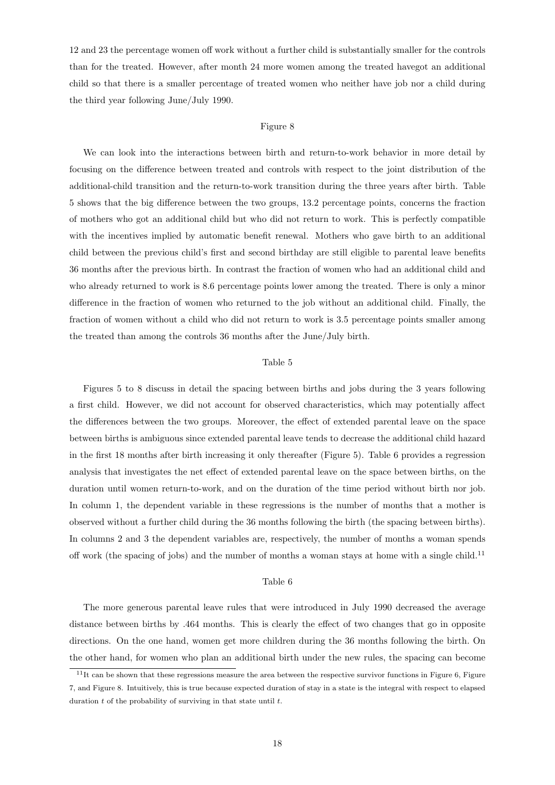12 and 23 the percentage women off work without a further child is substantially smaller for the controls than for the treated. However, after month 24 more women among the treated havegot an additional child so that there is a smaller percentage of treated women who neither have job nor a child during the third year following June/July 1990.

#### Figure 8

We can look into the interactions between birth and return-to-work behavior in more detail by focusing on the difference between treated and controls with respect to the joint distribution of the additional-child transition and the return-to-work transition during the three years after birth. Table 5 shows that the big difference between the two groups, 13.2 percentage points, concerns the fraction of mothers who got an additional child but who did not return to work. This is perfectly compatible with the incentives implied by automatic benefit renewal. Mothers who gave birth to an additional child between the previous child's first and second birthday are still eligible to parental leave benefits 36 months after the previous birth. In contrast the fraction of women who had an additional child and who already returned to work is 8.6 percentage points lower among the treated. There is only a minor difference in the fraction of women who returned to the job without an additional child. Finally, the fraction of women without a child who did not return to work is 3.5 percentage points smaller among the treated than among the controls 36 months after the June/July birth.

#### Table 5

Figures 5 to 8 discuss in detail the spacing between births and jobs during the 3 years following a first child. However, we did not account for observed characteristics, which may potentially affect the differences between the two groups. Moreover, the effect of extended parental leave on the space between births is ambiguous since extended parental leave tends to decrease the additional child hazard in the first 18 months after birth increasing it only thereafter (Figure 5). Table 6 provides a regression analysis that investigates the net effect of extended parental leave on the space between births, on the duration until women return-to-work, and on the duration of the time period without birth nor job. In column 1, the dependent variable in these regressions is the number of months that a mother is observed without a further child during the 36 months following the birth (the spacing between births). In columns 2 and 3 the dependent variables are, respectively, the number of months a woman spends off work (the spacing of jobs) and the number of months a woman stays at home with a single child.<sup>11</sup>

#### Table 6

The more generous parental leave rules that were introduced in July 1990 decreased the average distance between births by .464 months. This is clearly the effect of two changes that go in opposite directions. On the one hand, women get more children during the 36 months following the birth. On the other hand, for women who plan an additional birth under the new rules, the spacing can become

 $11$ It can be shown that these regressions measure the area between the respective survivor functions in Figure 6, Figure 7, and Figure 8. Intuitively, this is true because expected duration of stay in a state is the integral with respect to elapsed duration  $t$  of the probability of surviving in that state until  $t$ .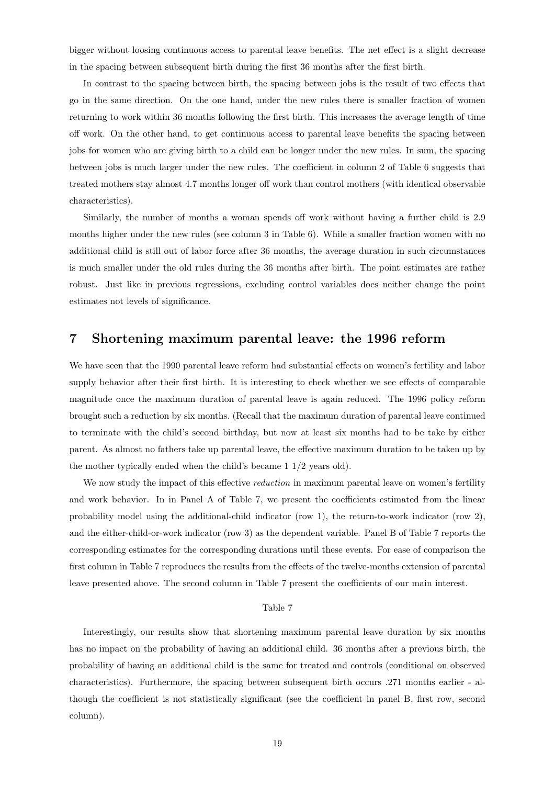bigger without loosing continuous access to parental leave benefits. The net effect is a slight decrease in the spacing between subsequent birth during the first 36 months after the first birth.

In contrast to the spacing between birth, the spacing between jobs is the result of two effects that go in the same direction. On the one hand, under the new rules there is smaller fraction of women returning to work within 36 months following the first birth. This increases the average length of time off work. On the other hand, to get continuous access to parental leave benefits the spacing between jobs for women who are giving birth to a child can be longer under the new rules. In sum, the spacing between jobs is much larger under the new rules. The coefficient in column 2 of Table 6 suggests that treated mothers stay almost 4.7 months longer off work than control mothers (with identical observable characteristics).

Similarly, the number of months a woman spends off work without having a further child is 2.9 months higher under the new rules (see column 3 in Table 6). While a smaller fraction women with no additional child is still out of labor force after 36 months, the average duration in such circumstances is much smaller under the old rules during the 36 months after birth. The point estimates are rather robust. Just like in previous regressions, excluding control variables does neither change the point estimates not levels of significance.

## 7 Shortening maximum parental leave: the 1996 reform

We have seen that the 1990 parental leave reform had substantial effects on women's fertility and labor supply behavior after their first birth. It is interesting to check whether we see effects of comparable magnitude once the maximum duration of parental leave is again reduced. The 1996 policy reform brought such a reduction by six months. (Recall that the maximum duration of parental leave continued to terminate with the child's second birthday, but now at least six months had to be take by either parent. As almost no fathers take up parental leave, the effective maximum duration to be taken up by the mother typically ended when the child's became 1 1/2 years old).

We now study the impact of this effective *reduction* in maximum parental leave on women's fertility and work behavior. In in Panel A of Table 7, we present the coefficients estimated from the linear probability model using the additional-child indicator (row 1), the return-to-work indicator (row 2), and the either-child-or-work indicator (row 3) as the dependent variable. Panel B of Table 7 reports the corresponding estimates for the corresponding durations until these events. For ease of comparison the first column in Table 7 reproduces the results from the effects of the twelve-months extension of parental leave presented above. The second column in Table 7 present the coefficients of our main interest.

#### Table 7

Interestingly, our results show that shortening maximum parental leave duration by six months has no impact on the probability of having an additional child. 36 months after a previous birth, the probability of having an additional child is the same for treated and controls (conditional on observed characteristics). Furthermore, the spacing between subsequent birth occurs .271 months earlier - although the coefficient is not statistically significant (see the coefficient in panel B, first row, second column).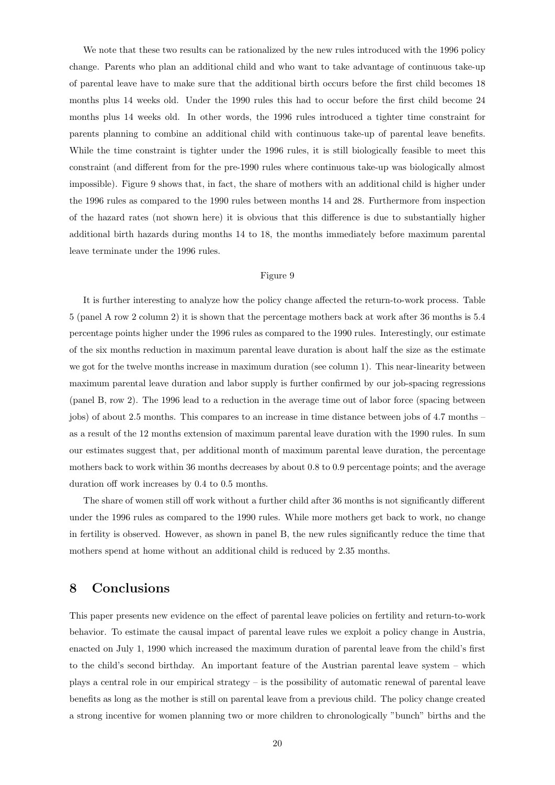We note that these two results can be rationalized by the new rules introduced with the 1996 policy change. Parents who plan an additional child and who want to take advantage of continuous take-up of parental leave have to make sure that the additional birth occurs before the first child becomes 18 months plus 14 weeks old. Under the 1990 rules this had to occur before the first child become 24 months plus 14 weeks old. In other words, the 1996 rules introduced a tighter time constraint for parents planning to combine an additional child with continuous take-up of parental leave benefits. While the time constraint is tighter under the 1996 rules, it is still biologically feasible to meet this constraint (and different from for the pre-1990 rules where continuous take-up was biologically almost impossible). Figure 9 shows that, in fact, the share of mothers with an additional child is higher under the 1996 rules as compared to the 1990 rules between months 14 and 28. Furthermore from inspection of the hazard rates (not shown here) it is obvious that this difference is due to substantially higher additional birth hazards during months 14 to 18, the months immediately before maximum parental leave terminate under the 1996 rules.

#### Figure 9

It is further interesting to analyze how the policy change affected the return-to-work process. Table 5 (panel A row 2 column 2) it is shown that the percentage mothers back at work after 36 months is 5.4 percentage points higher under the 1996 rules as compared to the 1990 rules. Interestingly, our estimate of the six months reduction in maximum parental leave duration is about half the size as the estimate we got for the twelve months increase in maximum duration (see column 1). This near-linearity between maximum parental leave duration and labor supply is further confirmed by our job-spacing regressions (panel B, row 2). The 1996 lead to a reduction in the average time out of labor force (spacing between jobs) of about 2.5 months. This compares to an increase in time distance between jobs of 4.7 months – as a result of the 12 months extension of maximum parental leave duration with the 1990 rules. In sum our estimates suggest that, per additional month of maximum parental leave duration, the percentage mothers back to work within 36 months decreases by about 0.8 to 0.9 percentage points; and the average duration off work increases by 0.4 to 0.5 months.

The share of women still off work without a further child after 36 months is not significantly different under the 1996 rules as compared to the 1990 rules. While more mothers get back to work, no change in fertility is observed. However, as shown in panel B, the new rules significantly reduce the time that mothers spend at home without an additional child is reduced by 2.35 months.

## 8 Conclusions

This paper presents new evidence on the effect of parental leave policies on fertility and return-to-work behavior. To estimate the causal impact of parental leave rules we exploit a policy change in Austria, enacted on July 1, 1990 which increased the maximum duration of parental leave from the child's first to the child's second birthday. An important feature of the Austrian parental leave system – which plays a central role in our empirical strategy – is the possibility of automatic renewal of parental leave benefits as long as the mother is still on parental leave from a previous child. The policy change created a strong incentive for women planning two or more children to chronologically "bunch" births and the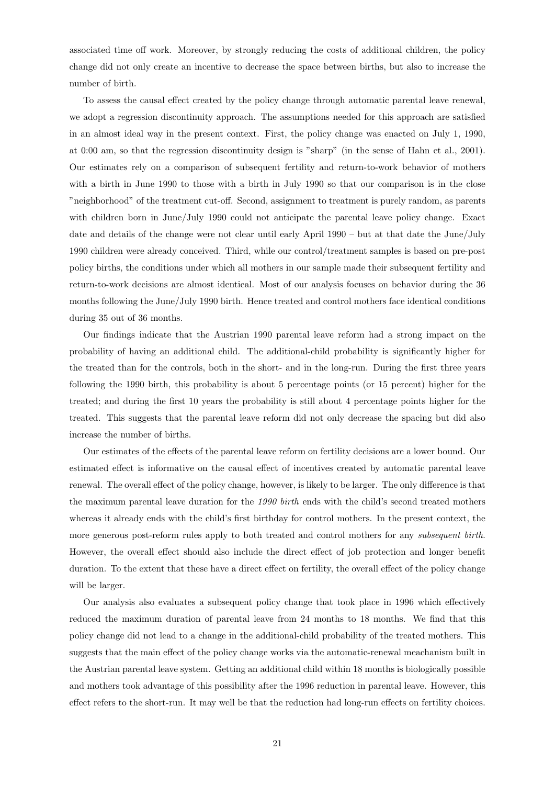associated time off work. Moreover, by strongly reducing the costs of additional children, the policy change did not only create an incentive to decrease the space between births, but also to increase the number of birth.

To assess the causal effect created by the policy change through automatic parental leave renewal, we adopt a regression discontinuity approach. The assumptions needed for this approach are satisfied in an almost ideal way in the present context. First, the policy change was enacted on July 1, 1990, at 0:00 am, so that the regression discontinuity design is "sharp" (in the sense of Hahn et al., 2001). Our estimates rely on a comparison of subsequent fertility and return-to-work behavior of mothers with a birth in June 1990 to those with a birth in July 1990 so that our comparison is in the close "neighborhood" of the treatment cut-off. Second, assignment to treatment is purely random, as parents with children born in June/July 1990 could not anticipate the parental leave policy change. Exact date and details of the change were not clear until early April 1990 – but at that date the June/July 1990 children were already conceived. Third, while our control/treatment samples is based on pre-post policy births, the conditions under which all mothers in our sample made their subsequent fertility and return-to-work decisions are almost identical. Most of our analysis focuses on behavior during the 36 months following the June/July 1990 birth. Hence treated and control mothers face identical conditions during 35 out of 36 months.

Our findings indicate that the Austrian 1990 parental leave reform had a strong impact on the probability of having an additional child. The additional-child probability is significantly higher for the treated than for the controls, both in the short- and in the long-run. During the first three years following the 1990 birth, this probability is about 5 percentage points (or 15 percent) higher for the treated; and during the first 10 years the probability is still about 4 percentage points higher for the treated. This suggests that the parental leave reform did not only decrease the spacing but did also increase the number of births.

Our estimates of the effects of the parental leave reform on fertility decisions are a lower bound. Our estimated effect is informative on the causal effect of incentives created by automatic parental leave renewal. The overall effect of the policy change, however, is likely to be larger. The only difference is that the maximum parental leave duration for the 1990 birth ends with the child's second treated mothers whereas it already ends with the child's first birthday for control mothers. In the present context, the more generous post-reform rules apply to both treated and control mothers for any *subsequent birth*. However, the overall effect should also include the direct effect of job protection and longer benefit duration. To the extent that these have a direct effect on fertility, the overall effect of the policy change will be larger.

Our analysis also evaluates a subsequent policy change that took place in 1996 which effectively reduced the maximum duration of parental leave from 24 months to 18 months. We find that this policy change did not lead to a change in the additional-child probability of the treated mothers. This suggests that the main effect of the policy change works via the automatic-renewal meachanism built in the Austrian parental leave system. Getting an additional child within 18 months is biologically possible and mothers took advantage of this possibility after the 1996 reduction in parental leave. However, this effect refers to the short-run. It may well be that the reduction had long-run effects on fertility choices.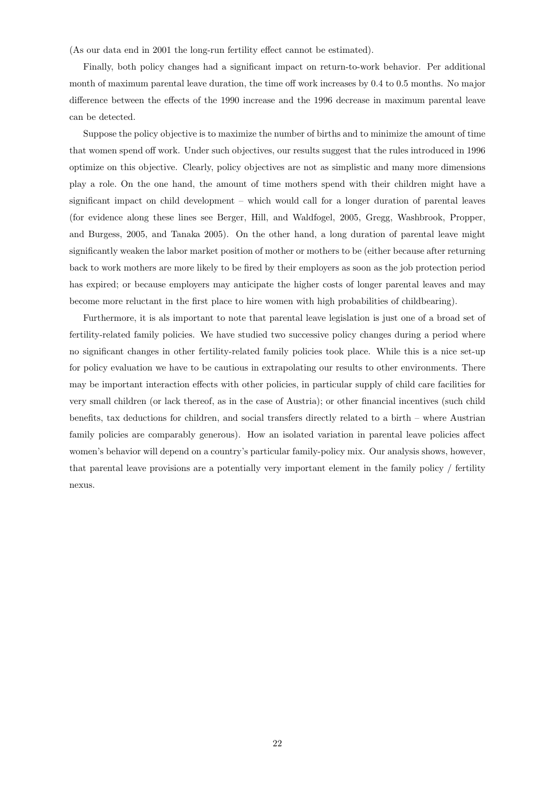(As our data end in 2001 the long-run fertility effect cannot be estimated).

Finally, both policy changes had a significant impact on return-to-work behavior. Per additional month of maximum parental leave duration, the time off work increases by 0.4 to 0.5 months. No major difference between the effects of the 1990 increase and the 1996 decrease in maximum parental leave can be detected.

Suppose the policy objective is to maximize the number of births and to minimize the amount of time that women spend off work. Under such objectives, our results suggest that the rules introduced in 1996 optimize on this objective. Clearly, policy objectives are not as simplistic and many more dimensions play a role. On the one hand, the amount of time mothers spend with their children might have a significant impact on child development – which would call for a longer duration of parental leaves (for evidence along these lines see Berger, Hill, and Waldfogel, 2005, Gregg, Washbrook, Propper, and Burgess, 2005, and Tanaka 2005). On the other hand, a long duration of parental leave might significantly weaken the labor market position of mother or mothers to be (either because after returning back to work mothers are more likely to be fired by their employers as soon as the job protection period has expired; or because employers may anticipate the higher costs of longer parental leaves and may become more reluctant in the first place to hire women with high probabilities of childbearing).

Furthermore, it is als important to note that parental leave legislation is just one of a broad set of fertility-related family policies. We have studied two successive policy changes during a period where no significant changes in other fertility-related family policies took place. While this is a nice set-up for policy evaluation we have to be cautious in extrapolating our results to other environments. There may be important interaction effects with other policies, in particular supply of child care facilities for very small children (or lack thereof, as in the case of Austria); or other financial incentives (such child benefits, tax deductions for children, and social transfers directly related to a birth – where Austrian family policies are comparably generous). How an isolated variation in parental leave policies affect women's behavior will depend on a country's particular family-policy mix. Our analysis shows, however, that parental leave provisions are a potentially very important element in the family policy / fertility nexus.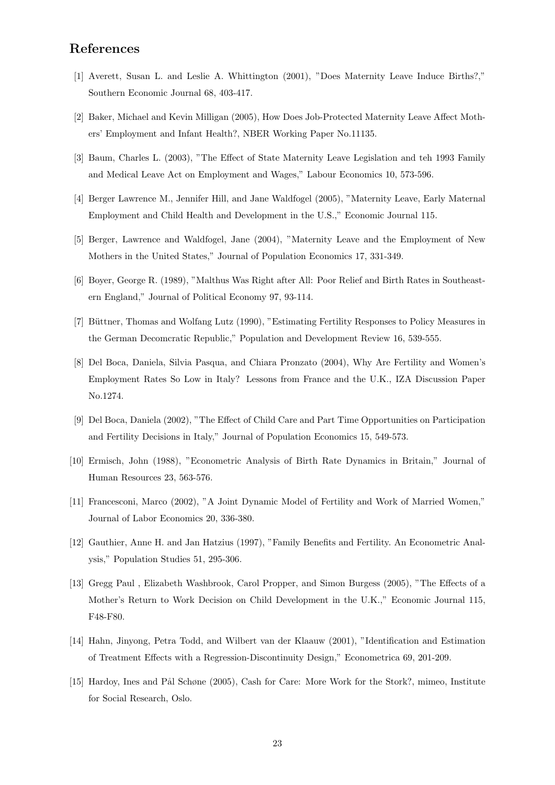# References

- [1] Averett, Susan L. and Leslie A. Whittington (2001), "Does Maternity Leave Induce Births?," Southern Economic Journal 68, 403-417.
- [2] Baker, Michael and Kevin Milligan (2005), How Does Job-Protected Maternity Leave Affect Mothers' Employment and Infant Health?, NBER Working Paper No.11135.
- [3] Baum, Charles L. (2003), "The Effect of State Maternity Leave Legislation and teh 1993 Family and Medical Leave Act on Employment and Wages," Labour Economics 10, 573-596.
- [4] Berger Lawrence M., Jennifer Hill, and Jane Waldfogel (2005), "Maternity Leave, Early Maternal Employment and Child Health and Development in the U.S.," Economic Journal 115.
- [5] Berger, Lawrence and Waldfogel, Jane (2004), "Maternity Leave and the Employment of New Mothers in the United States," Journal of Population Economics 17, 331-349.
- [6] Boyer, George R. (1989), "Malthus Was Right after All: Poor Relief and Birth Rates in Southeastern England," Journal of Political Economy 97, 93-114.
- [7] Büttner, Thomas and Wolfang Lutz (1990), "Estimating Fertility Responses to Policy Measures in the German Decomcratic Republic," Population and Development Review 16, 539-555.
- [8] Del Boca, Daniela, Silvia Pasqua, and Chiara Pronzato (2004), Why Are Fertility and Women's Employment Rates So Low in Italy? Lessons from France and the U.K., IZA Discussion Paper No.1274.
- [9] Del Boca, Daniela (2002), "The Effect of Child Care and Part Time Opportunities on Participation and Fertility Decisions in Italy," Journal of Population Economics 15, 549-573.
- [10] Ermisch, John (1988), "Econometric Analysis of Birth Rate Dynamics in Britain," Journal of Human Resources 23, 563-576.
- [11] Francesconi, Marco (2002), "A Joint Dynamic Model of Fertility and Work of Married Women," Journal of Labor Economics 20, 336-380.
- [12] Gauthier, Anne H. and Jan Hatzius (1997), "Family Benefits and Fertility. An Econometric Analysis," Population Studies 51, 295-306.
- [13] Gregg Paul , Elizabeth Washbrook, Carol Propper, and Simon Burgess (2005), "The Effects of a Mother's Return to Work Decision on Child Development in the U.K.," Economic Journal 115, F48-F80.
- [14] Hahn, Jinyong, Petra Todd, and Wilbert van der Klaauw (2001), "Identification and Estimation of Treatment Effects with a Regression-Discontinuity Design," Econometrica 69, 201-209.
- [15] Hardoy, Ines and Pål Schøne (2005), Cash for Care: More Work for the Stork?, mimeo, Institute for Social Research, Oslo.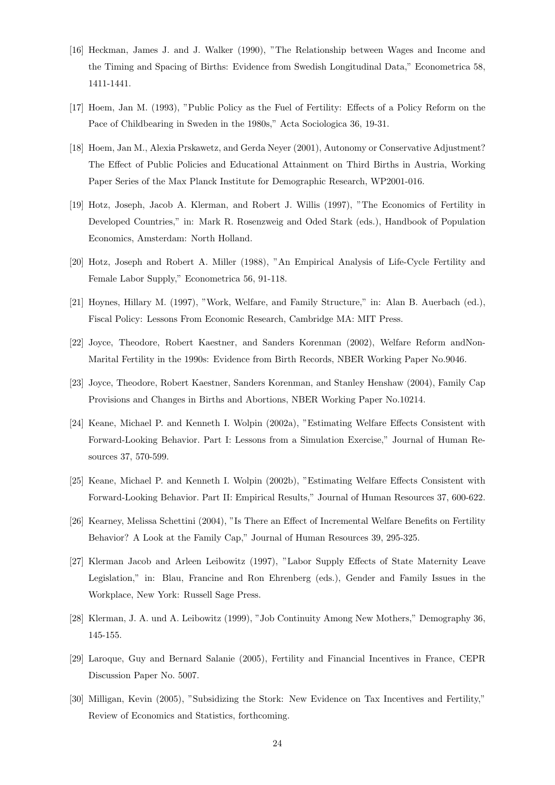- [16] Heckman, James J. and J. Walker (1990), "The Relationship between Wages and Income and the Timing and Spacing of Births: Evidence from Swedish Longitudinal Data," Econometrica 58, 1411-1441.
- [17] Hoem, Jan M. (1993), "Public Policy as the Fuel of Fertility: Effects of a Policy Reform on the Pace of Childbearing in Sweden in the 1980s," Acta Sociologica 36, 19-31.
- [18] Hoem, Jan M., Alexia Prskawetz, and Gerda Neyer (2001), Autonomy or Conservative Adjustment? The Effect of Public Policies and Educational Attainment on Third Births in Austria, Working Paper Series of the Max Planck Institute for Demographic Research, WP2001-016.
- [19] Hotz, Joseph, Jacob A. Klerman, and Robert J. Willis (1997), "The Economics of Fertility in Developed Countries," in: Mark R. Rosenzweig and Oded Stark (eds.), Handbook of Population Economics, Amsterdam: North Holland.
- [20] Hotz, Joseph and Robert A. Miller (1988), "An Empirical Analysis of Life-Cycle Fertility and Female Labor Supply," Econometrica 56, 91-118.
- [21] Hoynes, Hillary M. (1997), "Work, Welfare, and Family Structure," in: Alan B. Auerbach (ed.), Fiscal Policy: Lessons From Economic Research, Cambridge MA: MIT Press.
- [22] Joyce, Theodore, Robert Kaestner, and Sanders Korenman (2002), Welfare Reform andNon-Marital Fertility in the 1990s: Evidence from Birth Records, NBER Working Paper No.9046.
- [23] Joyce, Theodore, Robert Kaestner, Sanders Korenman, and Stanley Henshaw (2004), Family Cap Provisions and Changes in Births and Abortions, NBER Working Paper No.10214.
- [24] Keane, Michael P. and Kenneth I. Wolpin (2002a), "Estimating Welfare Effects Consistent with Forward-Looking Behavior. Part I: Lessons from a Simulation Exercise," Journal of Human Resources 37, 570-599.
- [25] Keane, Michael P. and Kenneth I. Wolpin (2002b), "Estimating Welfare Effects Consistent with Forward-Looking Behavior. Part II: Empirical Results," Journal of Human Resources 37, 600-622.
- [26] Kearney, Melissa Schettini (2004), "Is There an Effect of Incremental Welfare Benefits on Fertility Behavior? A Look at the Family Cap," Journal of Human Resources 39, 295-325.
- [27] Klerman Jacob and Arleen Leibowitz (1997), "Labor Supply Effects of State Maternity Leave Legislation," in: Blau, Francine and Ron Ehrenberg (eds.), Gender and Family Issues in the Workplace, New York: Russell Sage Press.
- [28] Klerman, J. A. und A. Leibowitz (1999), "Job Continuity Among New Mothers," Demography 36, 145-155.
- [29] Laroque, Guy and Bernard Salanie (2005), Fertility and Financial Incentives in France, CEPR Discussion Paper No. 5007.
- [30] Milligan, Kevin (2005), "Subsidizing the Stork: New Evidence on Tax Incentives and Fertility," Review of Economics and Statistics, forthcoming.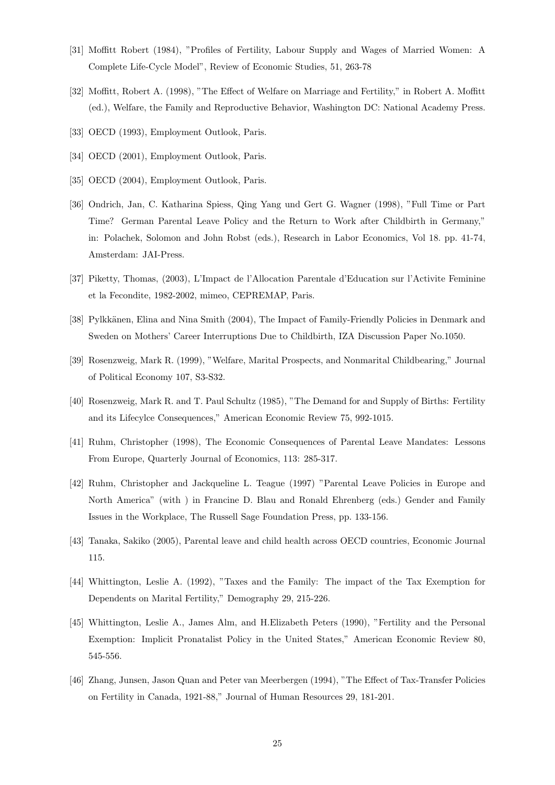- [31] Moffitt Robert (1984), "Profiles of Fertility, Labour Supply and Wages of Married Women: A Complete Life-Cycle Model", Review of Economic Studies, 51, 263-78
- [32] Moffitt, Robert A. (1998), "The Effect of Welfare on Marriage and Fertility," in Robert A. Moffitt (ed.), Welfare, the Family and Reproductive Behavior, Washington DC: National Academy Press.
- [33] OECD (1993), Employment Outlook, Paris.
- [34] OECD (2001), Employment Outlook, Paris.
- [35] OECD (2004), Employment Outlook, Paris.
- [36] Ondrich, Jan, C. Katharina Spiess, Qing Yang und Gert G. Wagner (1998), "Full Time or Part Time? German Parental Leave Policy and the Return to Work after Childbirth in Germany," in: Polachek, Solomon and John Robst (eds.), Research in Labor Economics, Vol 18. pp. 41-74, Amsterdam: JAI-Press.
- [37] Piketty, Thomas, (2003), L'Impact de l'Allocation Parentale d'Education sur l'Activite Feminine et la Fecondite, 1982-2002, mimeo, CEPREMAP, Paris.
- [38] Pylkkänen, Elina and Nina Smith (2004), The Impact of Family-Friendly Policies in Denmark and Sweden on Mothers' Career Interruptions Due to Childbirth, IZA Discussion Paper No.1050.
- [39] Rosenzweig, Mark R. (1999), "Welfare, Marital Prospects, and Nonmarital Childbearing," Journal of Political Economy 107, S3-S32.
- [40] Rosenzweig, Mark R. and T. Paul Schultz (1985), "The Demand for and Supply of Births: Fertility and its Lifecylce Consequences," American Economic Review 75, 992-1015.
- [41] Ruhm, Christopher (1998), The Economic Consequences of Parental Leave Mandates: Lessons From Europe, Quarterly Journal of Economics, 113: 285-317.
- [42] Ruhm, Christopher and Jackqueline L. Teague (1997) "Parental Leave Policies in Europe and North America" (with ) in Francine D. Blau and Ronald Ehrenberg (eds.) Gender and Family Issues in the Workplace, The Russell Sage Foundation Press, pp. 133-156.
- [43] Tanaka, Sakiko (2005), Parental leave and child health across OECD countries, Economic Journal 115.
- [44] Whittington, Leslie A. (1992), "Taxes and the Family: The impact of the Tax Exemption for Dependents on Marital Fertility," Demography 29, 215-226.
- [45] Whittington, Leslie A., James Alm, and H.Elizabeth Peters (1990), "Fertility and the Personal Exemption: Implicit Pronatalist Policy in the United States," American Economic Review 80, 545-556.
- [46] Zhang, Junsen, Jason Quan and Peter van Meerbergen (1994), "The Effect of Tax-Transfer Policies on Fertility in Canada, 1921-88," Journal of Human Resources 29, 181-201.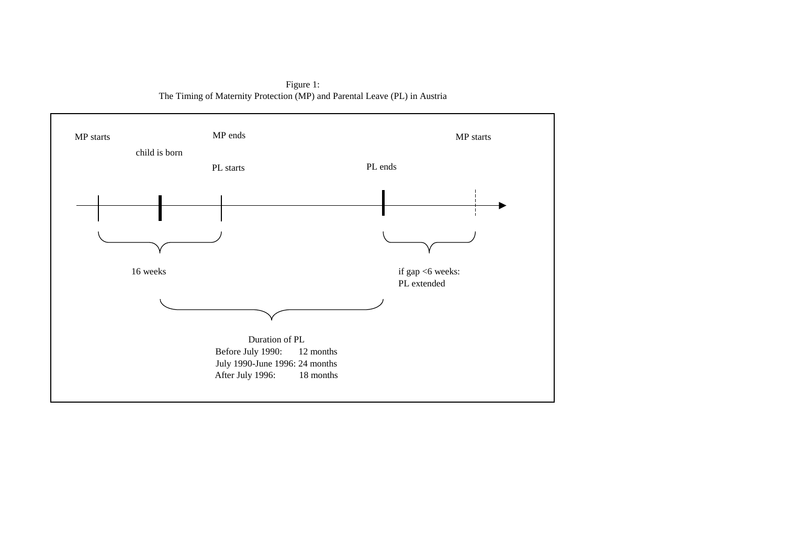The Timing of Maternity Protection (MP) and Parental Leave (PL) in Austria Figure 1:

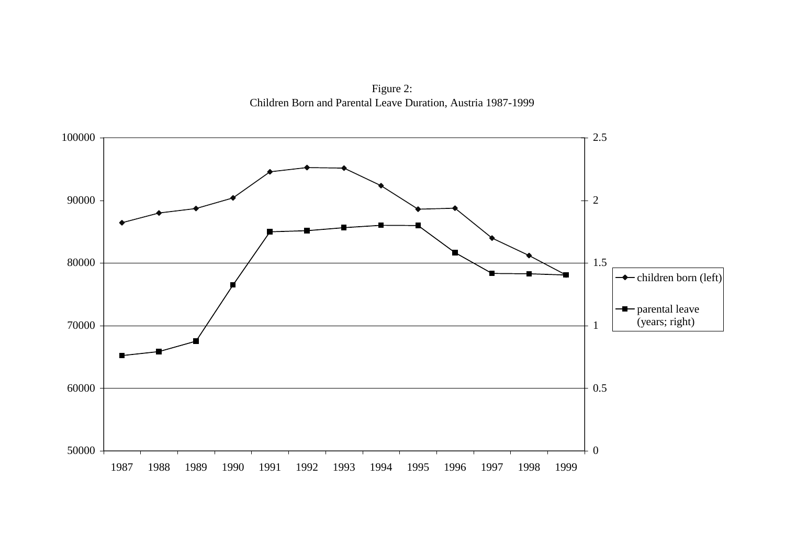Figure 2: Children Born and Parental Leave Duration, Austria 1987-1999

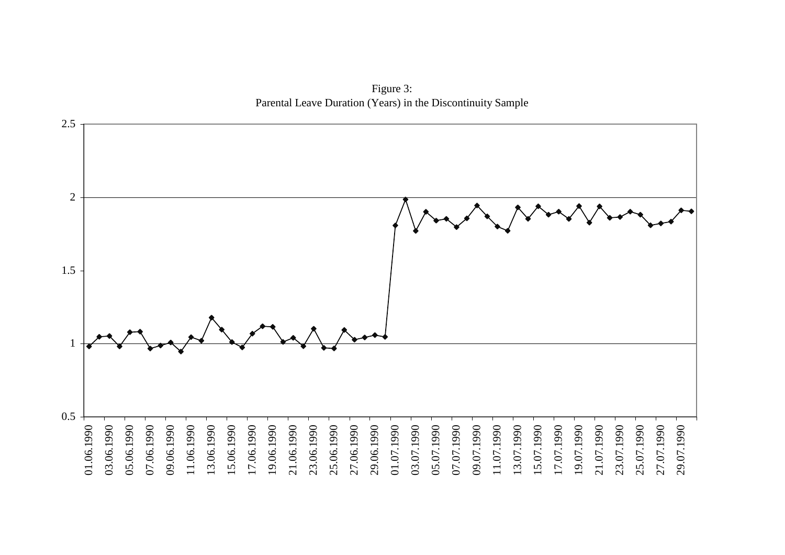Figure 3: Parental Leave Duration (Years) in the Discontinuity Sample

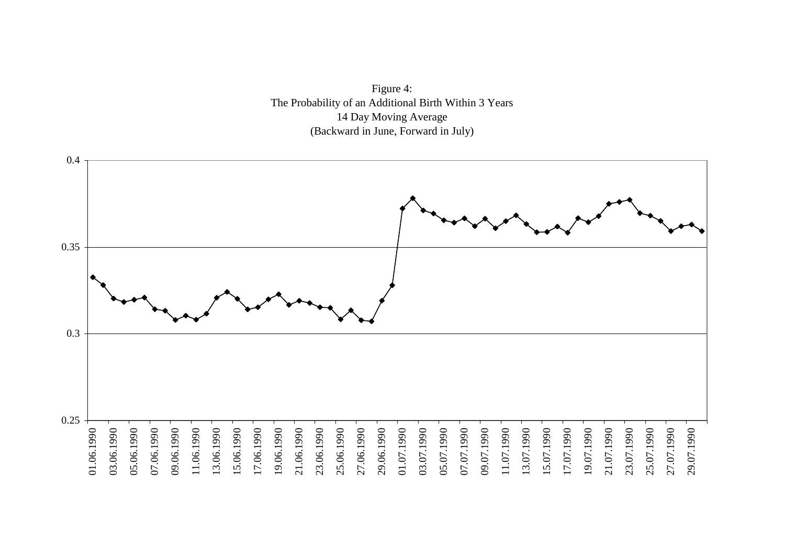Figure 4: The Probability of an Additional Birth Within 3 Years 14 Day Moving Average (Backward in June, Forward in July)

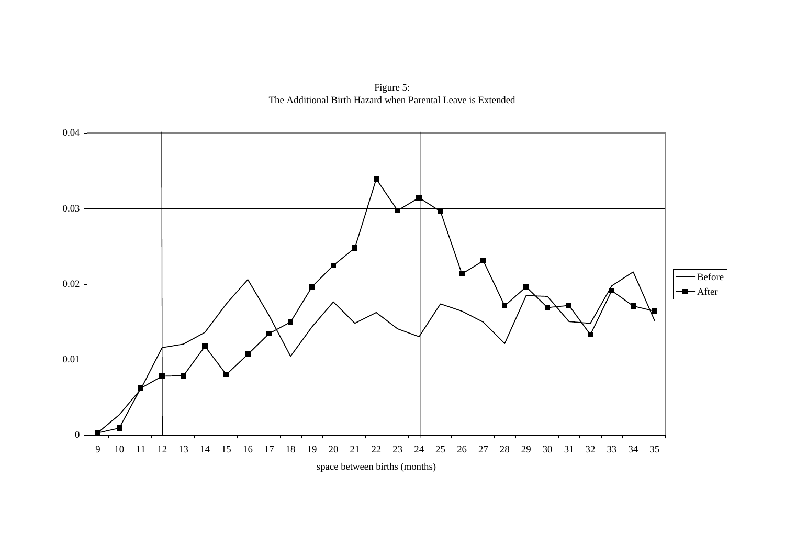Figure 5: The Additional Birth Hazard when Parental Leave is Extended

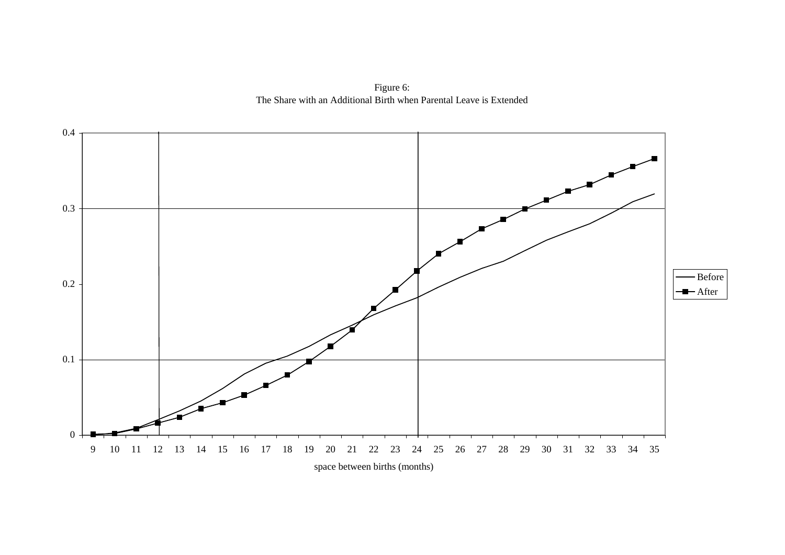Figure 6: The Share with an Additional Birth when Parental Leave is Extended

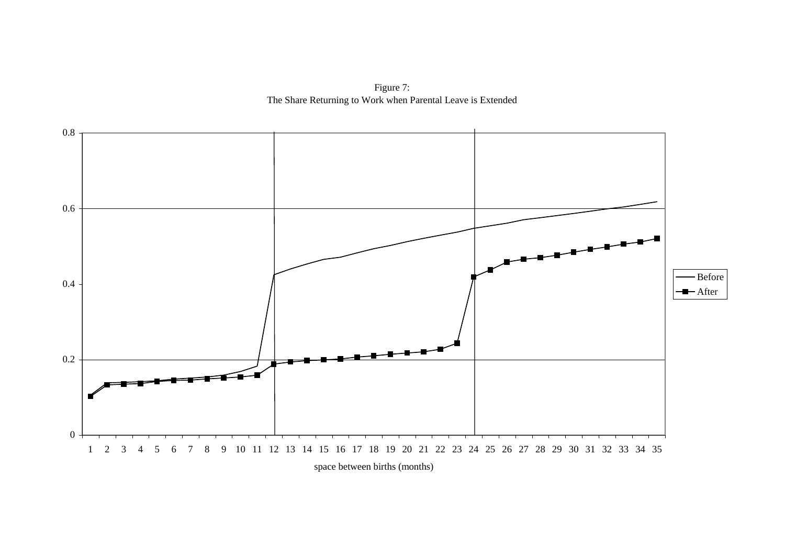Figure 7: The Share Returning to Work when Parental Leave is Extended

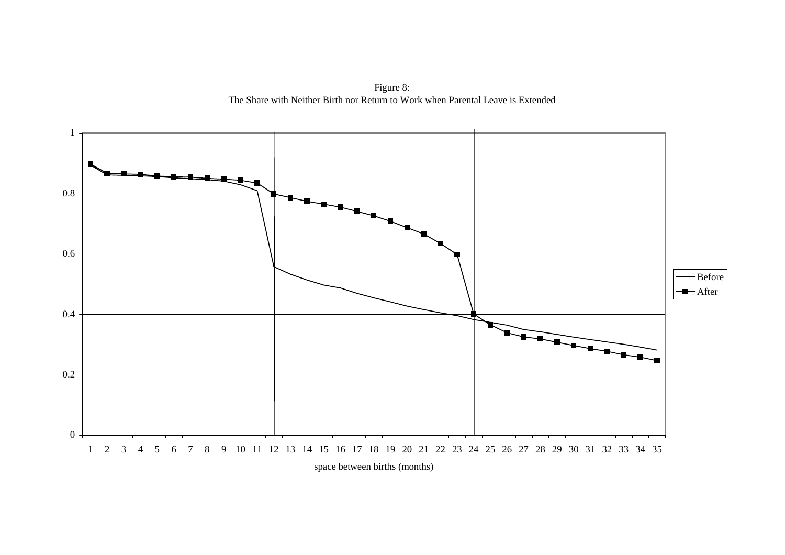Figure 8: The Share with Neither Birth nor Return to Work when Parental Leave is Extended

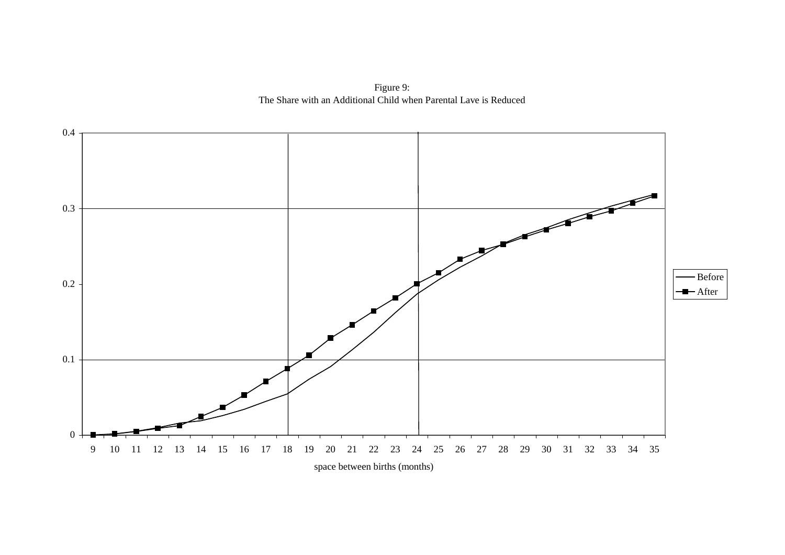Figure 9: The Share with an Additional Child when Parental Lave is Reduced

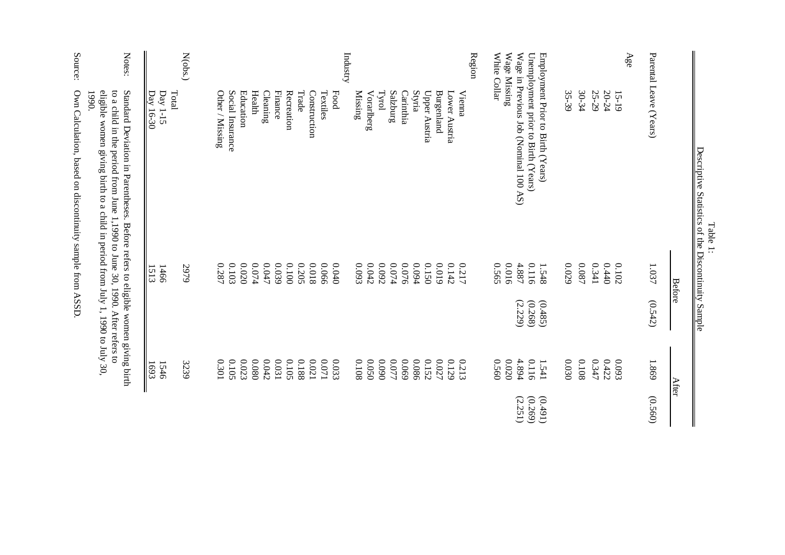|                              |                                                                                                                                                                                                                                                  |                      | $\alpha$ dupe $\beta$ unum |                |         |
|------------------------------|--------------------------------------------------------------------------------------------------------------------------------------------------------------------------------------------------------------------------------------------------|----------------------|----------------------------|----------------|---------|
|                              |                                                                                                                                                                                                                                                  | <b>Before</b>        |                            | After          |         |
|                              | Parental Leave (Years)                                                                                                                                                                                                                           | 1.037                | (0.542)                    | 1.869          | (0.560) |
| Age                          |                                                                                                                                                                                                                                                  |                      |                            |                |         |
|                              | 15-19                                                                                                                                                                                                                                            | 0.102                |                            | 6.093          |         |
|                              | 20-24                                                                                                                                                                                                                                            | 0.440                |                            | 0.422          |         |
|                              | 25-29                                                                                                                                                                                                                                            | 0.341                |                            | 0.347          |         |
|                              | 30-34                                                                                                                                                                                                                                            | $\boldsymbol{0.087}$ |                            | 0.108          |         |
|                              | 35-39                                                                                                                                                                                                                                            | $0.029$              |                            | 0.030          |         |
|                              | Employment Prior to Birth (Years)                                                                                                                                                                                                                | 1.548                | (0.485)                    | 1.541          | (16t)   |
|                              | Unemployment prior to Birth (Years)                                                                                                                                                                                                              | 0.116                | (0.268)                    | 0.116          | (0.269) |
|                              | Wage in Previous Job (Nominal 100 AS)                                                                                                                                                                                                            | 4.887                | (2.229)                    | 4.894          | (2.251) |
| White Collar<br>Wage Missing |                                                                                                                                                                                                                                                  | 0.565<br>9100        |                            | 0.560<br>0200  |         |
| Region                       |                                                                                                                                                                                                                                                  |                      |                            |                |         |
|                              | Vienna                                                                                                                                                                                                                                           | 0.217                |                            | 0.213          |         |
|                              | Burgenland<br>Lower Austria                                                                                                                                                                                                                      | 610'0<br>0.142       |                            | 0.027<br>0.129 |         |
|                              | Upper Austria                                                                                                                                                                                                                                    | 0.150                |                            | 0.152          |         |
|                              | Styria                                                                                                                                                                                                                                           | 0.094                |                            | 0.086          |         |
|                              | Salzburg<br>Carinthia                                                                                                                                                                                                                            | $0.074\,$<br>0.076   |                            | 0.077<br>690'0 |         |
|                              | Tyrol                                                                                                                                                                                                                                            | 0.092                |                            | 060'0          |         |
|                              | Vorarlberg                                                                                                                                                                                                                                       | 0.042                |                            | 0.050          |         |
| Industry                     | Missing                                                                                                                                                                                                                                          | 6.093                |                            | 0.108          |         |
|                              | Food                                                                                                                                                                                                                                             | $0.040$              |                            | 0.033          |         |
|                              | Textiles                                                                                                                                                                                                                                         | 0.066                |                            | $170.0$        |         |
|                              | Construction                                                                                                                                                                                                                                     | 810.0                |                            | $0.021$        |         |
|                              | Trade                                                                                                                                                                                                                                            | 0.205                |                            | 0.188          |         |
|                              | <b>Finance</b><br>Recreation                                                                                                                                                                                                                     | 680'0<br>0010        |                            | 0.031<br>0.105 |         |
|                              | $\rm{Clearly}$                                                                                                                                                                                                                                   | $0.047\,$            |                            | 0.042          |         |
|                              | Health                                                                                                                                                                                                                                           | 0.074                |                            | 0800           |         |
|                              | Education                                                                                                                                                                                                                                        | $0.020\,$            |                            | 0.023          |         |
|                              | Social Insurance                                                                                                                                                                                                                                 | 0.103                |                            | 0.105          |         |
|                              | Other / Missing                                                                                                                                                                                                                                  | 0.287                |                            | 0.301          |         |
| N(obs.)                      |                                                                                                                                                                                                                                                  | 5979                 |                            | 3239           |         |
|                              | Total                                                                                                                                                                                                                                            |                      |                            |                |         |
|                              | Day 1-15<br>Day 16-30                                                                                                                                                                                                                            | 1513<br>1466         |                            | 1693<br>1546   |         |
| Notes:                       | eligible women giving birth to a child in period from July 1, 1990 to July 30,<br>Standard Deviation in Parentheses. Before refers to eligible women giving birth<br>to a child in the period from June 1,1990 to June 30, 1990. After refers to |                      |                            |                |         |
| Source:                      | Own Calculation, based on discontinuity sample from ASSD<br>1990.                                                                                                                                                                                |                      |                            |                |         |
|                              |                                                                                                                                                                                                                                                  |                      |                            |                |         |

 $\mathbf{Des}$ Descriptive Statistics of the Discontinuity Sample Table 1:<br>criptive Statistics of the Dis ntinuity Sal ele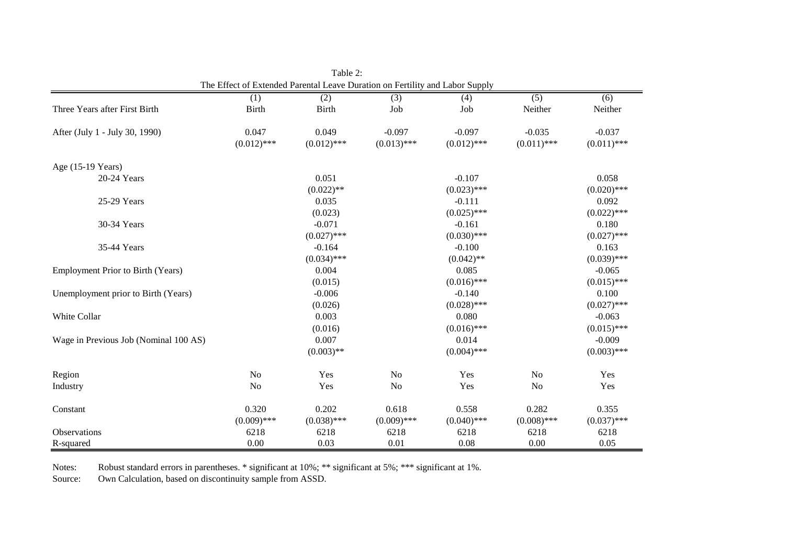|                                          | The Effect of Extended Parental Leave Duration on Fertility and Labor Supply |               |                  |               |                  |               |
|------------------------------------------|------------------------------------------------------------------------------|---------------|------------------|---------------|------------------|---------------|
|                                          | (1)                                                                          | (2)           | $\overline{(3)}$ | (4)           | $\overline{(5)}$ | (6)           |
| Three Years after First Birth            | <b>Birth</b>                                                                 | <b>Birth</b>  | Job              | Job           | Neither          | Neither       |
| After (July 1 - July 30, 1990)           | 0.047                                                                        | 0.049         | $-0.097$         | $-0.097$      | $-0.035$         | $-0.037$      |
|                                          | $(0.012)$ ***                                                                | $(0.012)$ *** | $(0.013)$ ***    | $(0.012)$ *** | $(0.011)$ ***    | $(0.011)$ *** |
| Age (15-19 Years)                        |                                                                              |               |                  |               |                  |               |
| 20-24 Years                              |                                                                              | 0.051         |                  | $-0.107$      |                  | 0.058         |
|                                          |                                                                              | $(0.022)$ **  |                  | $(0.023)$ *** |                  | $(0.020)$ *** |
| 25-29 Years                              |                                                                              | 0.035         |                  | $-0.111$      |                  | 0.092         |
|                                          |                                                                              | (0.023)       |                  | $(0.025)$ *** |                  | $(0.022)$ *** |
| 30-34 Years                              |                                                                              | $-0.071$      |                  | $-0.161$      |                  | 0.180         |
|                                          |                                                                              | $(0.027)$ *** |                  | $(0.030)$ *** |                  | $(0.027)$ *** |
| 35-44 Years                              |                                                                              | $-0.164$      |                  | $-0.100$      |                  | 0.163         |
|                                          |                                                                              | $(0.034)$ *** |                  | $(0.042)$ **  |                  | $(0.039)$ *** |
| <b>Employment Prior to Birth (Years)</b> |                                                                              | 0.004         |                  | 0.085         |                  | $-0.065$      |
|                                          |                                                                              | (0.015)       |                  | $(0.016)$ *** |                  | $(0.015)$ *** |
| Unemployment prior to Birth (Years)      |                                                                              | $-0.006$      |                  | $-0.140$      |                  | 0.100         |
|                                          |                                                                              | (0.026)       |                  | $(0.028)$ *** |                  | $(0.027)$ *** |
| White Collar                             |                                                                              | 0.003         |                  | 0.080         |                  | $-0.063$      |
|                                          |                                                                              | (0.016)       |                  | $(0.016)$ *** |                  | $(0.015)$ *** |
| Wage in Previous Job (Nominal 100 AS)    |                                                                              | 0.007         |                  | 0.014         |                  | $-0.009$      |
|                                          |                                                                              | $(0.003)$ **  |                  | $(0.004)$ *** |                  | $(0.003)$ *** |
| Region                                   | No                                                                           | Yes           | N <sub>o</sub>   | Yes           | No               | Yes           |
| Industry                                 | No                                                                           | Yes           | N <sub>o</sub>   | Yes           | N <sub>o</sub>   | Yes           |
| Constant                                 | 0.320                                                                        | 0.202         | 0.618            | 0.558         | 0.282            | 0.355         |
|                                          | $(0.009)$ ***                                                                | $(0.038)$ *** | $(0.009)$ ***    | $(0.040)$ *** | $(0.008)$ ***    | $(0.037)$ *** |
| Observations                             | 6218                                                                         | 6218          | 6218             | 6218          | 6218             | 6218          |
| R-squared                                | 0.00                                                                         | 0.03          | 0.01             | 0.08          | 0.00             | 0.05          |

The Effect of Extended Parental Leave Duration on Fertility and Labor Supply Table 2:

Notes: Robust standard errors in parentheses. \* significant at 10%; \*\* significant at 5%; \*\*\* significant at 1%.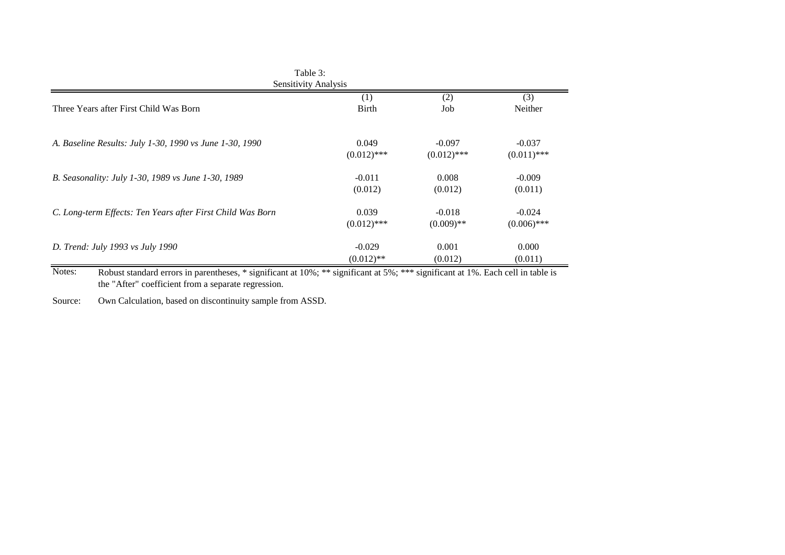|                                                            | Table 3:<br>Sensitivity Analysis |               |               |
|------------------------------------------------------------|----------------------------------|---------------|---------------|
| Three Years after First Child Was Born                     | (1)                              | (2)           | (3)           |
|                                                            | <b>Birth</b>                     | Job           | Neither       |
| A. Baseline Results: July 1-30, 1990 vs June 1-30, 1990    | 0.049                            | $-0.097$      | $-0.037$      |
|                                                            | $(0.012)$ ***                    | $(0.012)$ *** | $(0.011)$ *** |
| B. Seasonality: July 1-30, 1989 vs June 1-30, 1989         | $-0.011$                         | 0.008         | $-0.009$      |
|                                                            | (0.012)                          | (0.012)       | (0.011)       |
| C. Long-term Effects: Ten Years after First Child Was Born | 0.039                            | $-0.018$      | $-0.024$      |
|                                                            | $(0.012)$ ***                    | $(0.009)$ **  | $(0.006)$ *** |
| D. Trend: July 1993 vs July 1990                           | $-0.029$                         | 0.001         | 0.000         |
|                                                            | $(0.012)$ **                     | (0.012)       | (0.011)       |

Notes: Robust standard errors in parentheses, \* significant at 10%; \*\* significant at 5%; \*\*\* significant at 1%. Each cell in table is the "After" coefficient from a separate regression.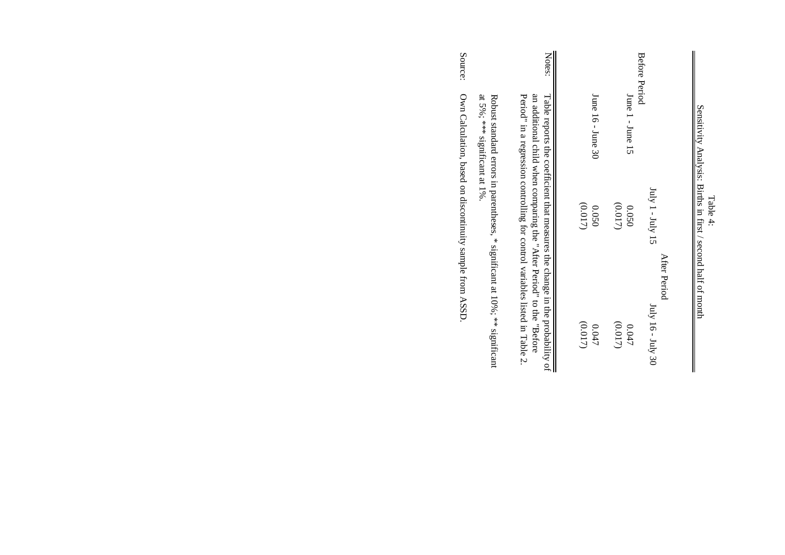|                                                                                 | Notes:                                                                                                                                                                                                                               |         |                       |         | Before Period    |                                    |
|---------------------------------------------------------------------------------|--------------------------------------------------------------------------------------------------------------------------------------------------------------------------------------------------------------------------------------|---------|-----------------------|---------|------------------|------------------------------------|
| at 5%; *** significant at 1%.                                                   |                                                                                                                                                                                                                                      |         | June $16 -$ June $30$ |         | June 1 - June 15 |                                    |
| Robust standard errors in parentheses, $*$ significant at 10%; $**$ significant | Table reports the coefficient that measures the change in the probability of<br>Period" in a regression controlling for control variables listed in Table 2.<br>an additional child when comparing the "After Period" to the "Before | (0.017) | 0.050                 | (0.017) | 0.050            | $July 1 - July 15$<br>After Period |
|                                                                                 |                                                                                                                                                                                                                                      | (0.017) | 0.047                 | (0.017) | 0.047            | $July$ 16 - $July$ 30              |

Table 4:<br>Sensitivity Analysis: Births in first / second half of month Sensitivity Analysis: Births in first / second half of month

 $\mathbf{I}$ 

Source: Own Calculation, based on discontinuity sample from ASSD.

Own Calculation, based on discontinuity sample from ASSD.

Source: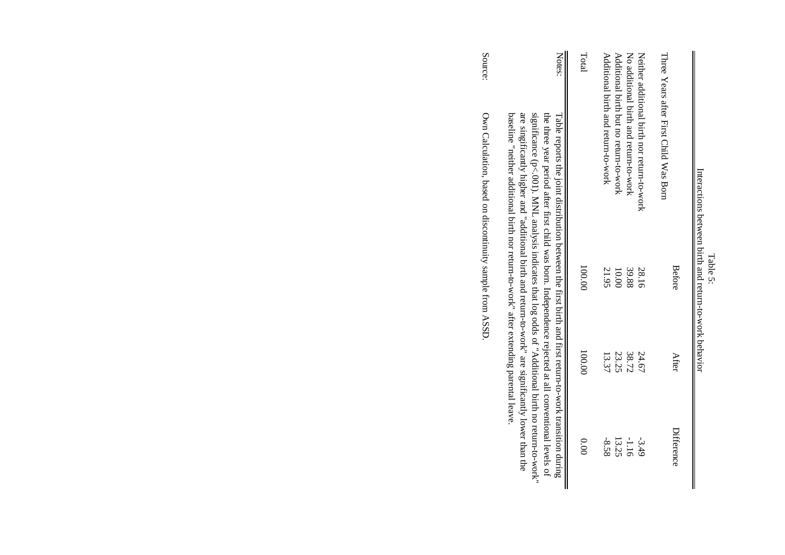|                                                                                                                                                                                                                                                                                                                                   | Interactions between birth and return-to-work behavior |        |            |
|-----------------------------------------------------------------------------------------------------------------------------------------------------------------------------------------------------------------------------------------------------------------------------------------------------------------------------------|--------------------------------------------------------|--------|------------|
| Three Years after First Child Was Born                                                                                                                                                                                                                                                                                            | Before                                                 | After  | Difference |
| Neither additional prith nor retrin-to-sork                                                                                                                                                                                                                                                                                       | 28.16                                                  | 24.67  | $-3.49$    |
| No additional birth and return-to-work                                                                                                                                                                                                                                                                                            | 39.88                                                  | 38.72  | $-1.16$    |
| Additional birth but no return-to-sork                                                                                                                                                                                                                                                                                            | 10.00                                                  | 23.25  | 13.25      |
| Additional birth and return-to-work                                                                                                                                                                                                                                                                                               | 21.95                                                  | 13.37  | $-8.58$    |
| Total                                                                                                                                                                                                                                                                                                                             | 00.001                                                 | 100.00 | 0.00       |
| Notes:<br>significance (p<.001). MNL analysis indicates that log odds of "Additional birth no return-to-work"<br>the three year period after first child was born. Independence rejected at all conventional levels of<br>Hable reports the joint distribution between the first birth and first return-to-work fransition during |                                                        |        |            |
| are singificantly higher and "additional birth and return-to-work" are significantly lower than the                                                                                                                                                                                                                               |                                                        |        |            |

Table 5:

Source: Source: Own Calculation, based on discontinuity sample from ASSD. Own Calculation, based on discontinuity sample from ASSD.  $\frac{1}{\sqrt{1}}$  baseline "neither additional birth nor return-to-work" after extending parental leave. baseline "neither additional birth nor return-to-work" after extending parental leave.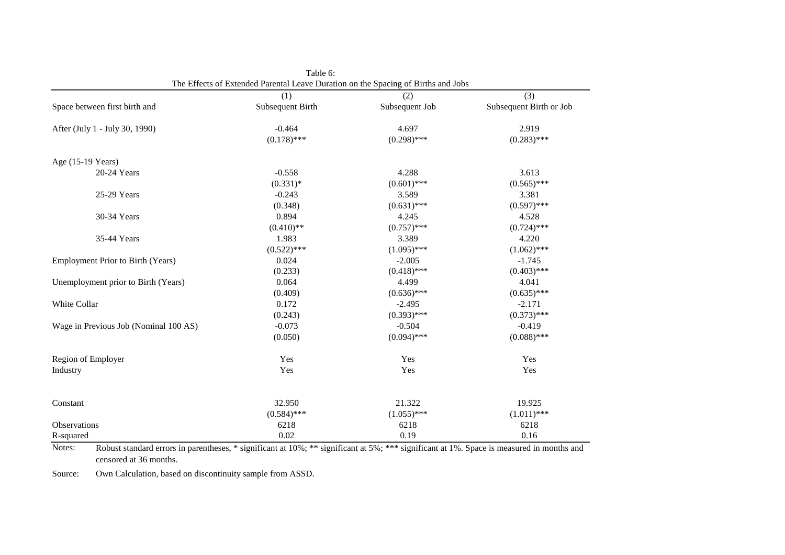|                                       | (1)              | (2)            | (3)                     |
|---------------------------------------|------------------|----------------|-------------------------|
| Space between first birth and         | Subsequent Birth | Subsequent Job | Subsequent Birth or Job |
| After (July 1 - July 30, 1990)        | $-0.464$         | 4.697          | 2.919                   |
|                                       | $(0.178)$ ***    | $(0.298)$ ***  | $(0.283)$ ***           |
| Age (15-19 Years)                     |                  |                |                         |
| 20-24 Years                           | $-0.558$         | 4.288          | 3.613                   |
|                                       | $(0.331)*$       | $(0.601)$ ***  | $(0.565)$ ***           |
| 25-29 Years                           | $-0.243$         | 3.589          | 3.381                   |
|                                       | (0.348)          | $(0.631)$ ***  | $(0.597)$ ***           |
| 30-34 Years                           | 0.894            | 4.245          | 4.528                   |
|                                       | $(0.410)$ **     | $(0.757)$ ***  | $(0.724)$ ***           |
| 35-44 Years                           | 1.983            | 3.389          | 4.220                   |
|                                       | $(0.522)$ ***    | $(1.095)$ ***  | $(1.062)$ ***           |
| Employment Prior to Birth (Years)     | 0.024            | $-2.005$       | $-1.745$                |
|                                       | (0.233)          | $(0.418)$ ***  | $(0.403)$ ***           |
| Unemployment prior to Birth (Years)   | 0.064            | 4.499          | 4.041                   |
|                                       | (0.409)          | $(0.636)$ ***  | $(0.635)$ ***           |
| White Collar                          | 0.172            | $-2.495$       | $-2.171$                |
|                                       | (0.243)          | $(0.393)$ ***  | $(0.373)$ ***           |
| Wage in Previous Job (Nominal 100 AS) | $-0.073$         | $-0.504$       | $-0.419$                |
|                                       | (0.050)          | $(0.094)$ ***  | $(0.088)$ ***           |
| Region of Employer                    | Yes              | Yes            | Yes                     |
| Industry                              | Yes              | Yes            | Yes                     |
|                                       |                  |                |                         |
| Constant                              | 32.950           | 21.322         | 19.925                  |
|                                       | $(0.584)$ ***    | $(1.055)$ ***  | $(1.011)$ ***           |
| Observations                          | 6218             | 6218           | 6218                    |
| R-squared                             | 0.02             | 0.19           | 0.16                    |

Table 6: The Effects of Extended Parental Leave Duration on the Spacing of Births and Jobs

Notes: Robust standard errors in parentheses, \* significant at 10%; \*\* significant at 5%; \*\*\* significant at 1%. Space is measured in months and censored at 36 months.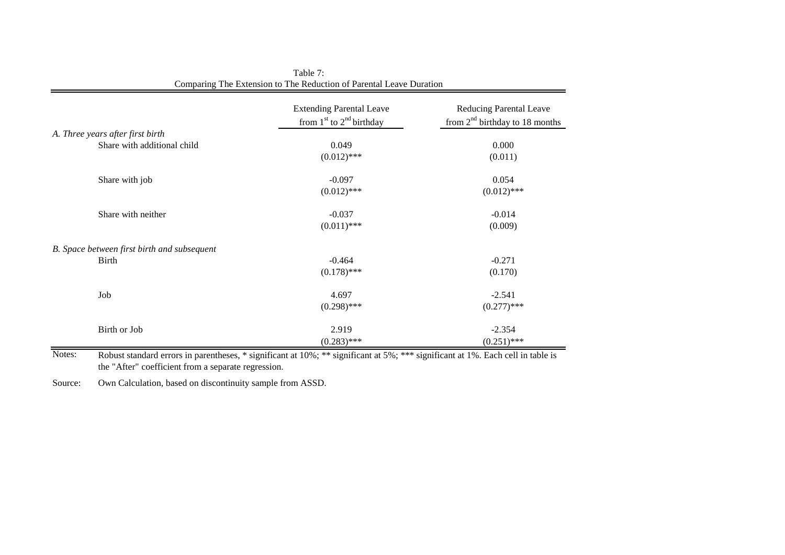|                                             | <b>Extending Parental Leave</b><br>from $1st$ to $2nd$ birthday | Reducing Parental Leave<br>from $2nd$ birthday to 18 months |
|---------------------------------------------|-----------------------------------------------------------------|-------------------------------------------------------------|
| A. Three years after first birth            |                                                                 |                                                             |
| Share with additional child                 | 0.049                                                           | 0.000                                                       |
|                                             | $(0.012)$ ***                                                   | (0.011)                                                     |
| Share with job                              | $-0.097$                                                        | 0.054                                                       |
|                                             | $(0.012)$ ***                                                   | $(0.012)$ ***                                               |
| Share with neither                          | $-0.037$                                                        | $-0.014$                                                    |
|                                             | $(0.011)$ ***                                                   | (0.009)                                                     |
| B. Space between first birth and subsequent |                                                                 |                                                             |
| Birth                                       | $-0.464$                                                        | $-0.271$                                                    |
|                                             | $(0.178)$ ***                                                   | (0.170)                                                     |
| Job                                         | 4.697                                                           | $-2.541$                                                    |
|                                             | $(0.298)$ ***                                                   | $(0.277)$ ***                                               |
| Birth or Job                                | 2.919                                                           | $-2.354$                                                    |
|                                             | $(0.283)$ ***                                                   | $(0.251)$ ***                                               |

| Table 7:                                                            |
|---------------------------------------------------------------------|
| Comparing The Extension to The Reduction of Parental Leave Duration |

Notes: Robust standard errors in parentheses, \* significant at 10%; \*\* significant at 5%; \*\*\* significant at 1%. Each cell in table is the "After" coefficient from a separate regression.